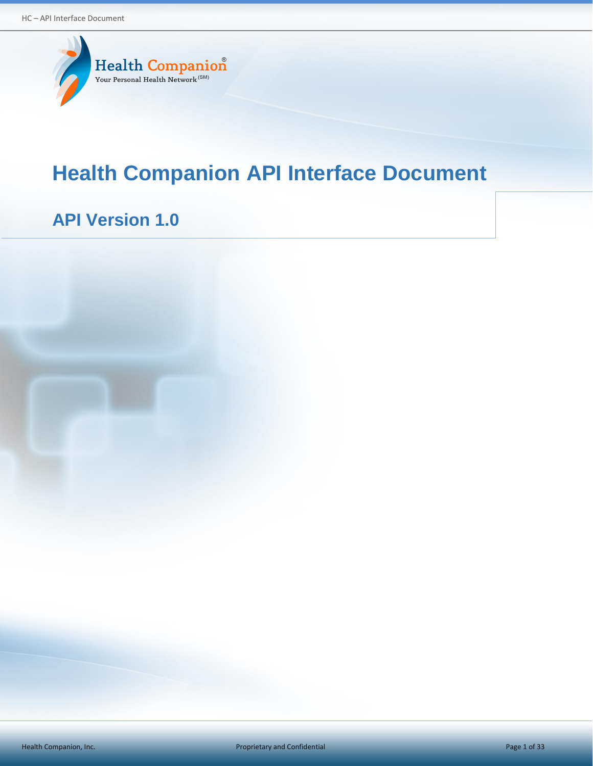

# **Health Companion API Interface Document**

# **API Version 1.0**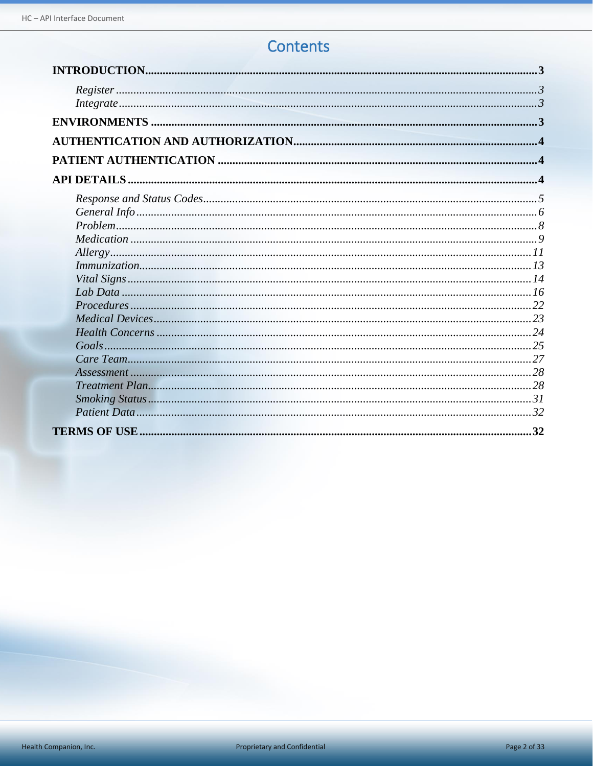# Contents

| Integrate 33 |
|--------------|
|              |
|              |
|              |
|              |
|              |
|              |
|              |
|              |
|              |
|              |
|              |
|              |
|              |
|              |
|              |
|              |
|              |
|              |
|              |
|              |
|              |
|              |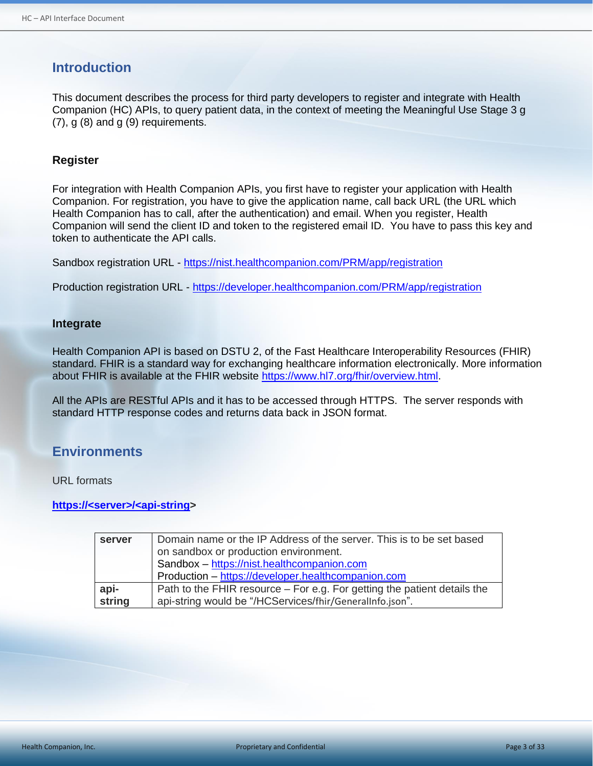# <span id="page-2-0"></span>**Introduction**

This document describes the process for third party developers to register and integrate with Health Companion (HC) APIs, to query patient data, in the context of meeting the Meaningful Use Stage 3 g (7), g (8) and g (9) requirements.

#### <span id="page-2-1"></span>**Register**

For integration with Health Companion APIs, you first have to register your application with Health Companion. For registration, you have to give the application name, call back URL (the URL which Health Companion has to call, after the authentication) and email. When you register, Health Companion will send the client ID and token to the registered email ID. You have to pass this key and token to authenticate the API calls.

Sandbox registration URL - <https://nist.healthcompanion.com/PRM/app/registration>

Production registration URL - <https://developer.healthcompanion.com/PRM/app/registration>

#### <span id="page-2-2"></span>**Integrate**

Health Companion API is based on DSTU 2, of the Fast Healthcare Interoperability Resources (FHIR) standard. FHIR is a standard way for exchanging healthcare information electronically. More information about FHIR is available at the FHIR website [https://www.hl7.org/fhir/overview.html.](https://www.hl7.org/fhir/overview.html)

All the APIs are RESTful APIs and it has to be accessed through HTTPS. The server responds with standard HTTP response codes and returns data back in JSON format.

## <span id="page-2-3"></span>**Environments**

URL formats

**https://<server>/<api-string>**

| server         | Domain name or the IP Address of the server. This is to be set based                                                                 |  |  |
|----------------|--------------------------------------------------------------------------------------------------------------------------------------|--|--|
|                | on sandbox or production environment.                                                                                                |  |  |
|                | Sandbox - https://nist.healthcompanion.com                                                                                           |  |  |
|                | Production - https://developer.healthcompanion.com                                                                                   |  |  |
| api-<br>string | Path to the FHIR resource – For e.g. For getting the patient details the<br>api-string would be "/HCServices/fhir/GeneralInfo.json". |  |  |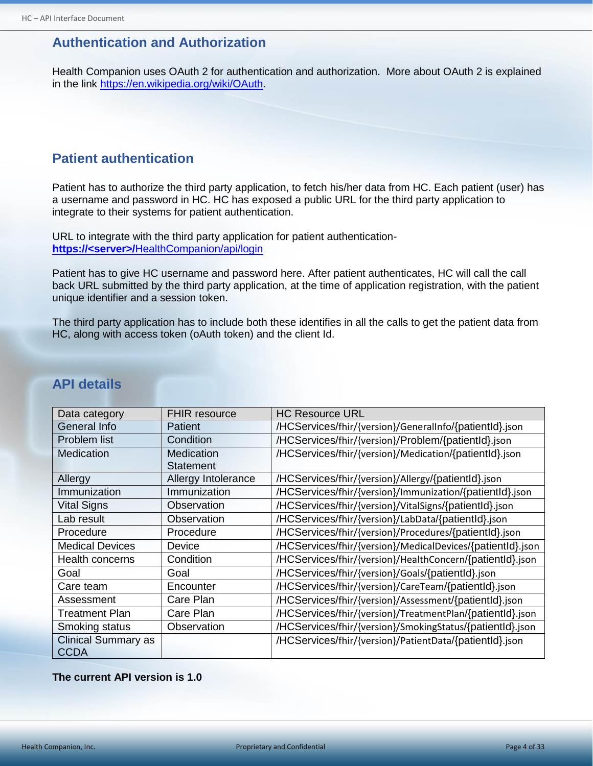# <span id="page-3-0"></span>**Authentication and Authorization**

Health Companion uses OAuth 2 for authentication and authorization. More about OAuth 2 is explained in the link [https://en.wikipedia.org/wiki/OAuth.](https://en.wikipedia.org/wiki/OAuth)

# <span id="page-3-1"></span>**Patient authentication**

Patient has to authorize the third party application, to fetch his/her data from HC. Each patient (user) has a username and password in HC. HC has exposed a public URL for the third party application to integrate to their systems for patient authentication.

URL to integrate with the third party application for patient authentication**https://<server>/**HealthCompanion/api/login

Patient has to give HC username and password here. After patient authenticates, HC will call the call back URL submitted by the third party application, at the time of application registration, with the patient unique identifier and a session token.

The third party application has to include both these identifies in all the calls to get the patient data from HC, along with access token (oAuth token) and the client Id.

| Data category              | <b>FHIR resource</b> | <b>HC Resource URL</b>                                     |
|----------------------------|----------------------|------------------------------------------------------------|
| General Info               | Patient              | /HCServices/fhir/{version}/GeneralInfo/{patientId}.json    |
| Problem list               | Condition            | /HCServices/fhir/{version}/Problem/{patientId}.json        |
| Medication                 | Medication           | /HCServices/fhir/{version}/Medication/{patientId}.json     |
|                            | Statement            |                                                            |
| Allergy                    | Allergy Intolerance  | /HCServices/fhir/{version}/Allergy/{patientId}.json        |
| Immunization               | Immunization         | /HCServices/fhir/{version}/Immunization/{patientId}.json   |
| <b>Vital Signs</b>         | Observation          | /HCServices/fhir/{version}/VitalSigns/{patientId}.json     |
| Lab result                 | Observation          | /HCServices/fhir/{version}/LabData/{patientId}.json        |
| Procedure                  | Procedure            | /HCServices/fhir/{version}/Procedures/{patientId}.json     |
| <b>Medical Devices</b>     | Device               | /HCServices/fhir/{version}/MedicalDevices/{patientId}.json |
| <b>Health concerns</b>     | Condition            | /HCServices/fhir/{version}/HealthConcern/{patientId}.json  |
| Goal                       | Goal                 | /HCServices/fhir/{version}/Goals/{patientId}.json          |
| Care team                  | Encounter            | /HCServices/fhir/{version}/CareTeam/{patientId}.json       |
| Assessment                 | Care Plan            | /HCServices/fhir/{version}/Assessment/{patientId}.json     |
| <b>Treatment Plan</b>      | Care Plan            | /HCServices/fhir/{version}/TreatmentPlan/{patientId}.json  |
| Smoking status             | Observation          | /HCServices/fhir/{version}/SmokingStatus/{patientId}.json  |
| <b>Clinical Summary as</b> |                      | /HCServices/fhir/{version}/PatientData/{patientId}.json    |
| <b>CCDA</b>                |                      |                                                            |

# <span id="page-3-2"></span>**API details**

#### **The current API version is 1.0**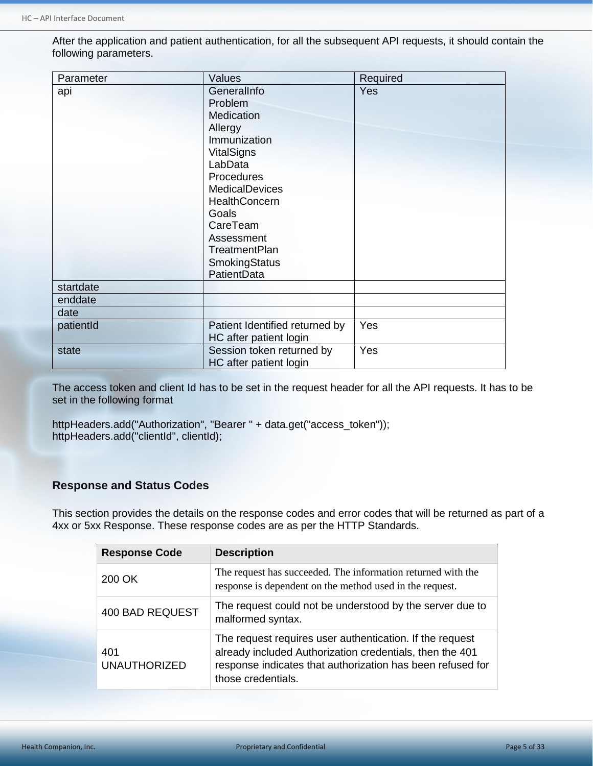After the application and patient authentication, for all the subsequent API requests, it should contain the following parameters.

| Parameter | Values                         | Required   |
|-----------|--------------------------------|------------|
| api       | GeneralInfo                    | <b>Yes</b> |
|           | Problem                        |            |
|           | Medication                     |            |
|           | Allergy                        |            |
|           | Immunization                   |            |
|           | <b>VitalSigns</b>              |            |
|           | LabData                        |            |
|           | Procedures                     |            |
|           | MedicalDevices                 |            |
|           | HealthConcern                  |            |
|           | Goals                          |            |
|           | CareTeam                       |            |
|           | Assessment                     |            |
|           | <b>TreatmentPlan</b>           |            |
|           | SmokingStatus                  |            |
|           | PatientData                    |            |
| startdate |                                |            |
| enddate   |                                |            |
| date      |                                |            |
| patientId | Patient Identified returned by | Yes        |
|           | HC after patient login         |            |
| state     | Session token returned by      | Yes        |
|           | HC after patient login         |            |

The access token and client Id has to be set in the request header for all the API requests. It has to be set in the following format

httpHeaders.add("Authorization", "Bearer " + data.get("access\_token")); httpHeaders.add("clientId", clientId);

#### <span id="page-4-0"></span>**Response and Status Codes**

This section provides the details on the response codes and error codes that will be returned as part of a 4xx or 5xx Response. These response codes are as per the HTTP Standards.

| <b>Response Code</b>       | <b>Description</b>                                                                                                                                                                                       |
|----------------------------|----------------------------------------------------------------------------------------------------------------------------------------------------------------------------------------------------------|
| 200 OK                     | The request has succeeded. The information returned with the<br>response is dependent on the method used in the request.                                                                                 |
| <b>400 BAD REQUEST</b>     | The request could not be understood by the server due to<br>malformed syntax.                                                                                                                            |
| 401<br><b>UNAUTHORIZED</b> | The request requires user authentication. If the request<br>already included Authorization credentials, then the 401<br>response indicates that authorization has been refused for<br>those credentials. |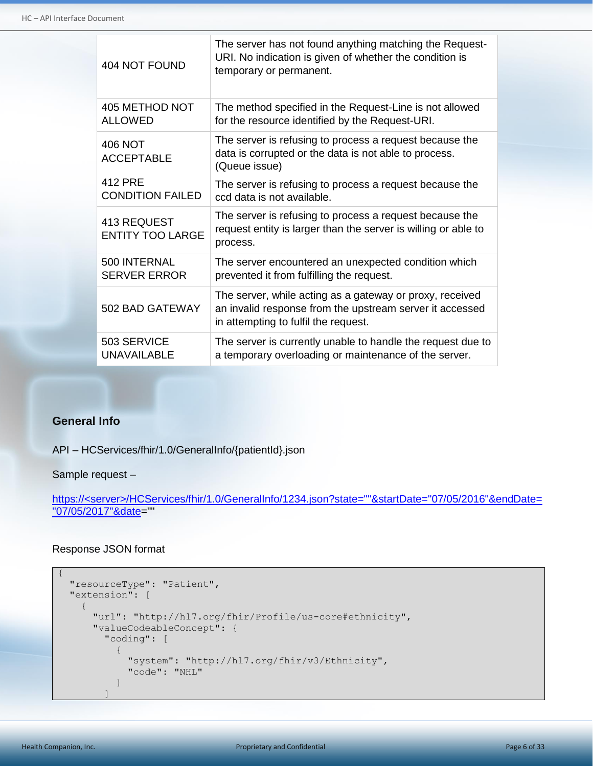| 404 NOT FOUND                          | The server has not found anything matching the Request-<br>URI. No indication is given of whether the condition is<br>temporary or permanent.                |
|----------------------------------------|--------------------------------------------------------------------------------------------------------------------------------------------------------------|
| <b>405 METHOD NOT</b>                  | The method specified in the Request-Line is not allowed                                                                                                      |
| <b>ALLOWED</b>                         | for the resource identified by the Request-URI.                                                                                                              |
| 406 NOT<br><b>ACCEPTABLE</b>           | The server is refusing to process a request because the<br>data is corrupted or the data is not able to process.<br>(Queue issue)                            |
| <b>412 PRE</b>                         | The server is refusing to process a request because the                                                                                                      |
| <b>CONDITION FAILED</b>                | ccd data is not available.                                                                                                                                   |
| 413 REQUEST<br><b>ENTITY TOO LARGE</b> | The server is refusing to process a request because the<br>request entity is larger than the server is willing or able to<br>process.                        |
| 500 INTERNAL                           | The server encountered an unexpected condition which                                                                                                         |
| <b>SERVER ERROR</b>                    | prevented it from fulfilling the request.                                                                                                                    |
| 502 BAD GATEWAY                        | The server, while acting as a gateway or proxy, received<br>an invalid response from the upstream server it accessed<br>in attempting to fulfil the request. |
| 503 SERVICE                            | The server is currently unable to handle the request due to                                                                                                  |
| <b>UNAVAILABLE</b>                     | a temporary overloading or maintenance of the server.                                                                                                        |

### <span id="page-5-0"></span>**General Info**

API – HCServices/fhir/1.0/GeneralInfo/{patientId}.json

Sample request –

https://<server>/HCServices/fhir/1.0/GeneralInfo/1234.json?state=""&startDate="07/05/2016"&endDate= "07/05/2017"&date=""

```
{
     "resourceType": "Patient",
     "extension": [
          {
              "url": "http://hl7.org/fhir/Profile/us-core#ethnicity",
              "valueCodeableConcept": {
                   "coding": [
\left\{ \begin{array}{cc} 0 & 0 & 0 \\ 0 & 0 & 0 \\ 0 & 0 & 0 \\ 0 & 0 & 0 \\ 0 & 0 & 0 \\ 0 & 0 & 0 \\ 0 & 0 & 0 \\ 0 & 0 & 0 \\ 0 & 0 & 0 \\ 0 & 0 & 0 \\ 0 & 0 & 0 \\ 0 & 0 & 0 \\ 0 & 0 & 0 & 0 \\ 0 & 0 & 0 & 0 \\ 0 & 0 & 0 & 0 \\ 0 & 0 & 0 & 0 & 0 \\ 0 & 0 & 0 & 0 & 0 \\ 0 & 0 & 0 & 0 & 0 \\ 0 & 0 & 0 & 0 & 0 \\ 0 & 0 "system": "http://hl7.org/fhir/v3/Ethnicity",
                            "code": "NHL"
 }
 ]
```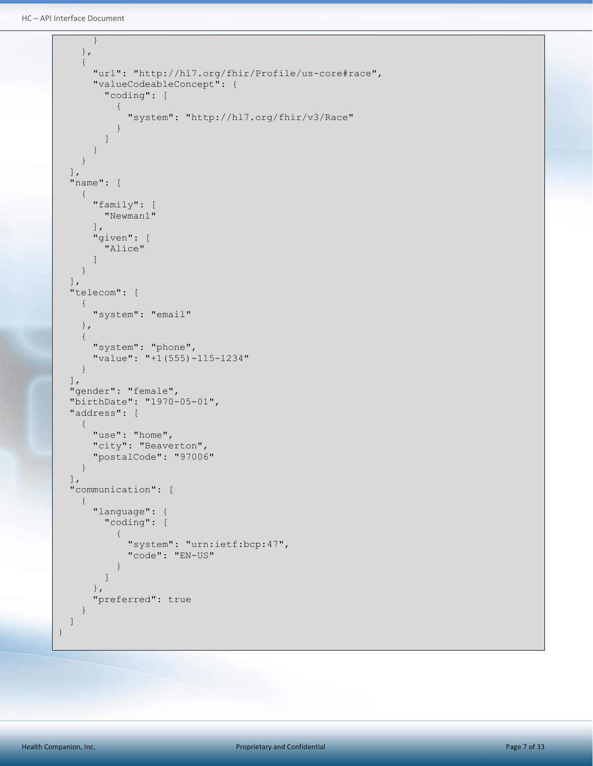```
HC – API Interface Document
```

```
 }
         },
         {
              "url": "http://hl7.org/fhir/Profile/us-core#race",
              "valueCodeableConcept": {
                  "coding": [
\left\{ \begin{array}{cc} 0 & 0 & 0 \\ 0 & 0 & 0 \\ 0 & 0 & 0 \\ 0 & 0 & 0 \\ 0 & 0 & 0 \\ 0 & 0 & 0 \\ 0 & 0 & 0 \\ 0 & 0 & 0 \\ 0 & 0 & 0 \\ 0 & 0 & 0 \\ 0 & 0 & 0 \\ 0 & 0 & 0 & 0 \\ 0 & 0 & 0 & 0 \\ 0 & 0 & 0 & 0 \\ 0 & 0 & 0 & 0 & 0 \\ 0 & 0 & 0 & 0 & 0 \\ 0 & 0 & 0 & 0 & 0 \\ 0 & 0 & 0 & 0 & 0 & 0 \\ 0 & 0 & 0 & 0 "system": "http://hl7.org/fhir/v3/Race"
 }
                  ]
              }
         }
     ],
     "name": [
        \{ "family": [
                 "Newman1"
             \vert,
              "given": [
                  "Alice"
              ]
         }
     ],
     "telecom": [
         {
              "system": "email"
         },
         {
              "system": "phone",
              "value": "+1(555)-115-1234"
         }
     ],
     "gender": "female",
     "birthDate": "1970-05-01",
     "address": [
         {
              "use": "home",
              "city": "Beaverton",
              "postalCode": "97006"
         }
     ],
     "communication": [
         {
              "language": {
                  "coding": [
\left\{ \begin{array}{cc} 0 & 0 & 0 \\ 0 & 0 & 0 \\ 0 & 0 & 0 \\ 0 & 0 & 0 \\ 0 & 0 & 0 \\ 0 & 0 & 0 \\ 0 & 0 & 0 \\ 0 & 0 & 0 \\ 0 & 0 & 0 \\ 0 & 0 & 0 \\ 0 & 0 & 0 \\ 0 & 0 & 0 & 0 \\ 0 & 0 & 0 & 0 \\ 0 & 0 & 0 & 0 \\ 0 & 0 & 0 & 0 & 0 \\ 0 & 0 & 0 & 0 & 0 \\ 0 & 0 & 0 & 0 & 0 \\ 0 & 0 & 0 & 0 & 0 & 0 \\ 0 & 0 & 0 & 0 "system": "urn:ietf:bcp:47",
                           "code": "EN-US"
 }
                  ]
              },
              "preferred": true
         }
     ]
}
```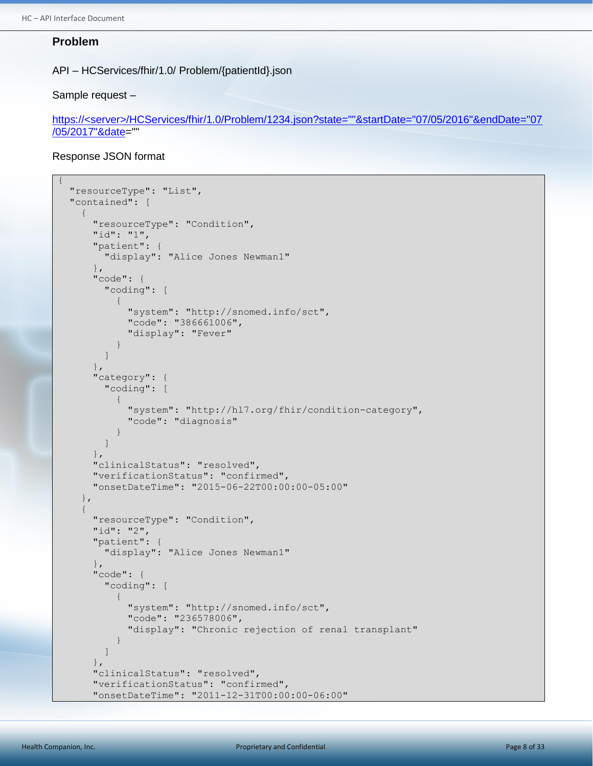#### <span id="page-7-0"></span>**Problem**

API – HCServices/fhir/1.0/ Problem/{patientId}.json

Sample request –

https://<server>/HCServices/fhir/1.0/Problem/1234.json?state=""&startDate="07/05/2016"&endDate="07 /05/2017"&date=""

```
{
     "resourceType": "List",
     "contained": [
         {
              "resourceType": "Condition",
             "id": "1",
              "patient": {
                 "display": "Alice Jones Newman1"
             },
              "code": {
                  "coding": [
\left\{ \begin{array}{cc} 0 & 0 & 0 \\ 0 & 0 & 0 \\ 0 & 0 & 0 \\ 0 & 0 & 0 \\ 0 & 0 & 0 \\ 0 & 0 & 0 \\ 0 & 0 & 0 \\ 0 & 0 & 0 \\ 0 & 0 & 0 \\ 0 & 0 & 0 \\ 0 & 0 & 0 \\ 0 & 0 & 0 & 0 \\ 0 & 0 & 0 & 0 \\ 0 & 0 & 0 & 0 \\ 0 & 0 & 0 & 0 & 0 \\ 0 & 0 & 0 & 0 & 0 \\ 0 & 0 & 0 & 0 & 0 \\ 0 & 0 & 0 & 0 & 0 & 0 \\ 0 & 0 & 0 & 0 "system": "http://snomed.info/sct",
                          "code": "386661006",
                          "display": "Fever"
 }
                 ]
             },
              "category": {
                  "coding": [
\left\{ \begin{array}{cc} 0 & 0 & 0 \\ 0 & 0 & 0 \\ 0 & 0 & 0 \\ 0 & 0 & 0 \\ 0 & 0 & 0 \\ 0 & 0 & 0 \\ 0 & 0 & 0 \\ 0 & 0 & 0 \\ 0 & 0 & 0 \\ 0 & 0 & 0 \\ 0 & 0 & 0 \\ 0 & 0 & 0 & 0 \\ 0 & 0 & 0 & 0 \\ 0 & 0 & 0 & 0 \\ 0 & 0 & 0 & 0 & 0 \\ 0 & 0 & 0 & 0 & 0 \\ 0 & 0 & 0 & 0 & 0 \\ 0 & 0 & 0 & 0 & 0 & 0 \\ 0 & 0 & 0 & 0 "system": "http://hl7.org/fhir/condition-category",
                          "code": "diagnosis"
 }
                 ]
              },
              "clinicalStatus": "resolved",
              "verificationStatus": "confirmed",
              "onsetDateTime": "2015-06-22T00:00:00-05:00"
         },
         {
              "resourceType": "Condition",
              "id": "2",
              "patient": {
                  "display": "Alice Jones Newman1"
             },
              "code": {
                  "coding": [
\left\{ \begin{array}{cc} 0 & 0 & 0 \\ 0 & 0 & 0 \\ 0 & 0 & 0 \\ 0 & 0 & 0 \\ 0 & 0 & 0 \\ 0 & 0 & 0 \\ 0 & 0 & 0 \\ 0 & 0 & 0 \\ 0 & 0 & 0 \\ 0 & 0 & 0 \\ 0 & 0 & 0 \\ 0 & 0 & 0 & 0 \\ 0 & 0 & 0 & 0 \\ 0 & 0 & 0 & 0 \\ 0 & 0 & 0 & 0 & 0 \\ 0 & 0 & 0 & 0 & 0 \\ 0 & 0 & 0 & 0 & 0 \\ 0 & 0 & 0 & 0 & 0 & 0 \\ 0 & 0 & 0 & 0 "system": "http://snomed.info/sct",
                          "code": "236578006",
                          "display": "Chronic rejection of renal transplant"
 }
 ]
             },
              "clinicalStatus": "resolved",
              "verificationStatus": "confirmed",
              "onsetDateTime": "2011-12-31T00:00:00-06:00"
```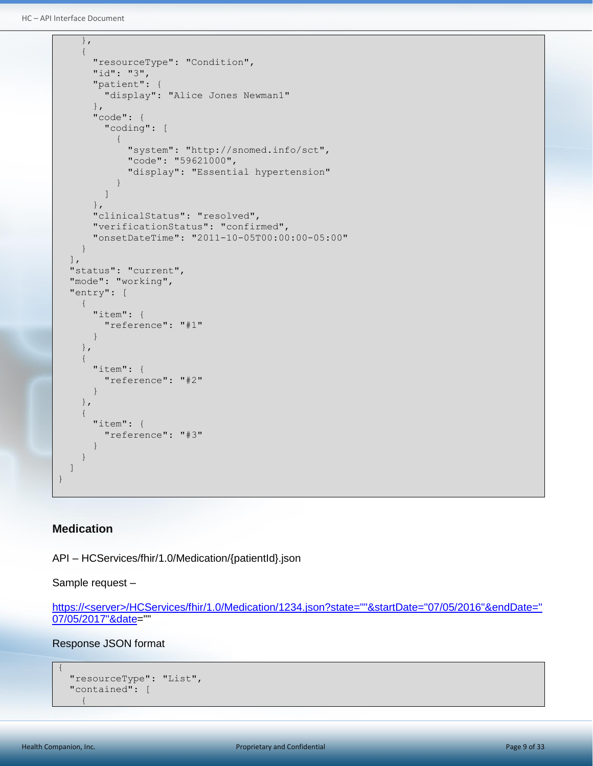```
HC – API Interface Document
```

```
 },
        {
           "resourceType": "Condition",
           "id": "3",
           "patient": {
               "display": "Alice Jones Newman1"
           },
           "code": {
               "coding": [
\left\{ \begin{array}{cc} 0 & 0 & 0 \\ 0 & 0 & 0 \\ 0 & 0 & 0 \\ 0 & 0 & 0 \\ 0 & 0 & 0 \\ 0 & 0 & 0 \\ 0 & 0 & 0 \\ 0 & 0 & 0 \\ 0 & 0 & 0 \\ 0 & 0 & 0 \\ 0 & 0 & 0 \\ 0 & 0 & 0 & 0 \\ 0 & 0 & 0 & 0 \\ 0 & 0 & 0 & 0 \\ 0 & 0 & 0 & 0 & 0 \\ 0 & 0 & 0 & 0 & 0 \\ 0 & 0 & 0 & 0 & 0 \\ 0 & 0 & 0 & 0 & 0 & 0 \\ 0 & 0 & 0 & 0 "system": "http://snomed.info/sct",
                      "code": "59621000",
                      "display": "Essential hypertension"
 }
               ]
           },
           "clinicalStatus": "resolved",
           "verificationStatus": "confirmed",
           "onsetDateTime": "2011-10-05T00:00:00-05:00"
       }
   \vert,
    "status": "current",
    "mode": "working",
    "entry": [
        {
           "item": {
               "reference": "#1"
           }
        },
        {
           "item": {
               "reference": "#2"
           }
        },
        {
           "item": {
               "reference": "#3"
\mathbb{R}^n . The set of \mathbb{R}^n\qquad \qquad \} ]
}
```
## <span id="page-8-0"></span>**Medication**

API – HCServices/fhir/1.0/Medication/{patientId}.json

Sample request –

https://<server>/HCServices/fhir/1.0/Medication/1234.json?state=""&startDate="07/05/2016"&endDate=" 07/05/2017"&date=""

```
{
   "resourceType": "List",
   "contained": [
     {
```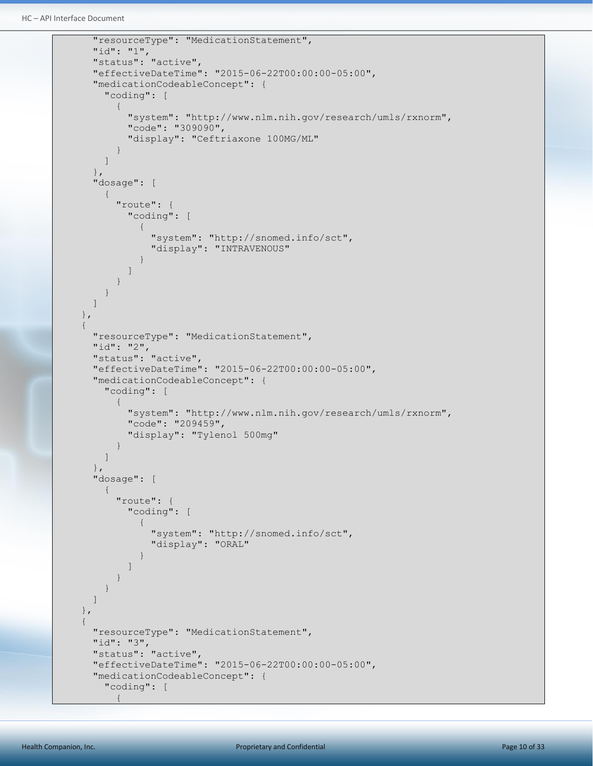```
 "resourceType": "MedicationStatement",
                 "id": "1",
                 "status": "active",
                 "effectiveDateTime": "2015-06-22T00:00:00-05:00",
                 "medicationCodeableConcept": {
                      "coding": [
\left\{ \begin{array}{cc} 0 & 0 & 0 \\ 0 & 0 & 0 \\ 0 & 0 & 0 \\ 0 & 0 & 0 \\ 0 & 0 & 0 \\ 0 & 0 & 0 \\ 0 & 0 & 0 \\ 0 & 0 & 0 \\ 0 & 0 & 0 \\ 0 & 0 & 0 \\ 0 & 0 & 0 \\ 0 & 0 & 0 & 0 \\ 0 & 0 & 0 & 0 \\ 0 & 0 & 0 & 0 \\ 0 & 0 & 0 & 0 & 0 \\ 0 & 0 & 0 & 0 & 0 \\ 0 & 0 & 0 & 0 & 0 \\ 0 & 0 & 0 & 0 & 0 & 0 \\ 0 & 0 & 0 & 0 "system": "http://www.nlm.nih.gov/research/umls/rxnorm",
                                 "code": "309090",
                                 "display": "Ceftriaxone 100MG/ML"
 }
                      ]
                },
                 "dosage": [
\left\{ \begin{array}{cc} 0 & 0 & 0 \\ 0 & 0 & 0 \\ 0 & 0 & 0 \\ 0 & 0 & 0 \\ 0 & 0 & 0 \\ 0 & 0 & 0 \\ 0 & 0 & 0 \\ 0 & 0 & 0 \\ 0 & 0 & 0 \\ 0 & 0 & 0 \\ 0 & 0 & 0 \\ 0 & 0 & 0 & 0 \\ 0 & 0 & 0 & 0 \\ 0 & 0 & 0 & 0 \\ 0 & 0 & 0 & 0 & 0 \\ 0 & 0 & 0 & 0 & 0 \\ 0 & 0 & 0 & 0 & 0 \\ 0 & 0 & 0 & 0 & 0 \\ 0 & 0 & 0 & 0 & 0 "route": {
                                 "coding": [
\left\{ \begin{array}{cc} 0 & 0 & 0 \\ 0 & 0 & 0 \\ 0 & 0 & 0 \\ 0 & 0 & 0 \\ 0 & 0 & 0 \\ 0 & 0 & 0 \\ 0 & 0 & 0 \\ 0 & 0 & 0 \\ 0 & 0 & 0 \\ 0 & 0 & 0 \\ 0 & 0 & 0 \\ 0 & 0 & 0 & 0 \\ 0 & 0 & 0 & 0 \\ 0 & 0 & 0 & 0 \\ 0 & 0 & 0 & 0 & 0 \\ 0 & 0 & 0 & 0 & 0 \\ 0 & 0 & 0 & 0 & 0 \\ 0 & 0 & 0 & 0 & 0 \\ 0 & 0 & 0 & 0 & 0 "system": "http://snomed.info/sct",
                                            "display": "INTRAVENOUS"
 }
 ]
 }
 }
                ]
           },
           {
                "resourceType": "MedicationStatement",
                "id": "2",
                "status": "active",
                 "effectiveDateTime": "2015-06-22T00:00:00-05:00",
                 "medicationCodeableConcept": {
                      "coding": [
\left\{ \begin{array}{cc} 0 & 0 & 0 \\ 0 & 0 & 0 \\ 0 & 0 & 0 \\ 0 & 0 & 0 \\ 0 & 0 & 0 \\ 0 & 0 & 0 \\ 0 & 0 & 0 \\ 0 & 0 & 0 \\ 0 & 0 & 0 \\ 0 & 0 & 0 \\ 0 & 0 & 0 \\ 0 & 0 & 0 & 0 \\ 0 & 0 & 0 & 0 \\ 0 & 0 & 0 & 0 \\ 0 & 0 & 0 & 0 & 0 \\ 0 & 0 & 0 & 0 & 0 \\ 0 & 0 & 0 & 0 & 0 \\ 0 & 0 & 0 & 0 & 0 & 0 \\ 0 & 0 & 0 & 0 "system": "http://www.nlm.nih.gov/research/umls/rxnorm",
                                 "code": "209459",
                                 "display": "Tylenol 500mg"
 }
                      ]
                 },
                 "dosage": [
                      {
                            "route": {
                                 "coding": [
\left\{ \begin{array}{cc} 0 & 0 & 0 \\ 0 & 0 & 0 \\ 0 & 0 & 0 \\ 0 & 0 & 0 \\ 0 & 0 & 0 \\ 0 & 0 & 0 \\ 0 & 0 & 0 \\ 0 & 0 & 0 \\ 0 & 0 & 0 \\ 0 & 0 & 0 \\ 0 & 0 & 0 \\ 0 & 0 & 0 & 0 \\ 0 & 0 & 0 & 0 \\ 0 & 0 & 0 & 0 \\ 0 & 0 & 0 & 0 & 0 \\ 0 & 0 & 0 & 0 & 0 \\ 0 & 0 & 0 & 0 & 0 \\ 0 & 0 & 0 & 0 & 0 \\ 0 & 0 & 0 & 0 & 0 "system": "http://snomed.info/sct",
                                            "display": "ORAL"
 }
 ]
 }
 }
                ]
           },
           {
                 "resourceType": "MedicationStatement",
                "id": "3",
                 "status": "active",
                "effectiveDateTime": "2015-06-22T00:00:00-05:00",
                 "medicationCodeableConcept": {
                      "coding": [
\left\{ \begin{array}{cc} 0 & 0 & 0 \\ 0 & 0 & 0 \\ 0 & 0 & 0 \\ 0 & 0 & 0 \\ 0 & 0 & 0 \\ 0 & 0 & 0 \\ 0 & 0 & 0 \\ 0 & 0 & 0 \\ 0 & 0 & 0 \\ 0 & 0 & 0 \\ 0 & 0 & 0 \\ 0 & 0 & 0 & 0 \\ 0 & 0 & 0 & 0 \\ 0 & 0 & 0 & 0 \\ 0 & 0 & 0 & 0 & 0 \\ 0 & 0 & 0 & 0 & 0 \\ 0 & 0 & 0 & 0 & 0 \\ 0 & 0 & 0 & 0 & 0 & 0 \\ 0 & 0 & 0 & 0
```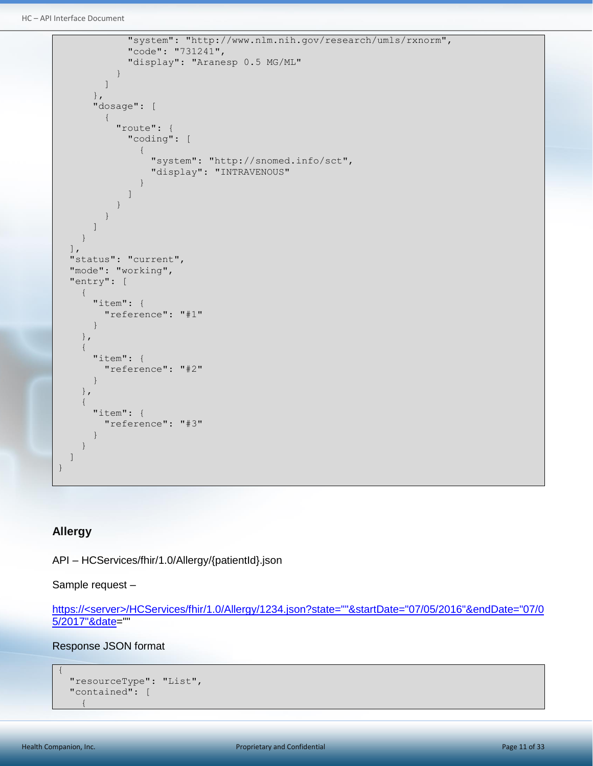```
HC – API Interface Document
```

```
 "system": "http://www.nlm.nih.gov/research/umls/rxnorm",
                               "code": "731241",
                               "display": "Aranesp 0.5 MG/ML"
 }
                    ]
                },
                "dosage": [
                    {
                          "route": {
                               "coding": [
\left\{ \begin{array}{cc} 0 & 0 & 0 \\ 0 & 0 & 0 \\ 0 & 0 & 0 \\ 0 & 0 & 0 \\ 0 & 0 & 0 \\ 0 & 0 & 0 \\ 0 & 0 & 0 \\ 0 & 0 & 0 \\ 0 & 0 & 0 \\ 0 & 0 & 0 \\ 0 & 0 & 0 \\ 0 & 0 & 0 & 0 \\ 0 & 0 & 0 & 0 \\ 0 & 0 & 0 & 0 \\ 0 & 0 & 0 & 0 & 0 \\ 0 & 0 & 0 & 0 & 0 \\ 0 & 0 & 0 & 0 & 0 \\ 0 & 0 & 0 & 0 & 0 & 0 \\ 0 & 0 & 0 & 0 "system": "http://snomed.info/sct",
                                         "display": "INTRAVENOUS"
 }
 ]
 }
 }
               ]
          }
    \frac{1}{\sqrt{2}} "status": "current",
    "mode": "working",
     "entry": [
          {
               "item": {
                    "reference": "#1"
\left\{\begin{array}{ccc} 1 & 0 & 0 \\ 0 & 0 & 0 \\ 0 & 0 & 0 \\ 0 & 0 & 0 \\ 0 & 0 & 0 \\ 0 & 0 & 0 \\ 0 & 0 & 0 \\ 0 & 0 & 0 \\ 0 & 0 & 0 \\ 0 & 0 & 0 \\ 0 & 0 & 0 \\ 0 & 0 & 0 \\ 0 & 0 & 0 & 0 \\ 0 & 0 & 0 & 0 \\ 0 & 0 & 0 & 0 \\ 0 & 0 & 0 & 0 & 0 \\ 0 & 0 & 0 & 0 & 0 \\ 0 & 0 & 0 & 0 & 0 \\ 0 & 0 & 0 & 0 & 0 \\ 0 & 0 & },
          {
               "item": {
                    "reference": "#2"
               }
          },
           {
                "item": {
                     "reference": "#3"
\mathbb{R}^n . The set of \mathbb{R}^n }
     ]
}
```
## <span id="page-10-0"></span>**Allergy**

API – HCServices/fhir/1.0/Allergy/{patientId}.json

Sample request –

```
https://<server>/HCServices/fhir/1.0/Allergy/1234.json?state=""&startDate="07/05/2016"&endDate="07/0
5/2017"&date=""
```
Response JSON format

```
 "resourceType": "List",
    "contained": [
\left\{\begin{array}{ccc} \end{array}\right\}
```
{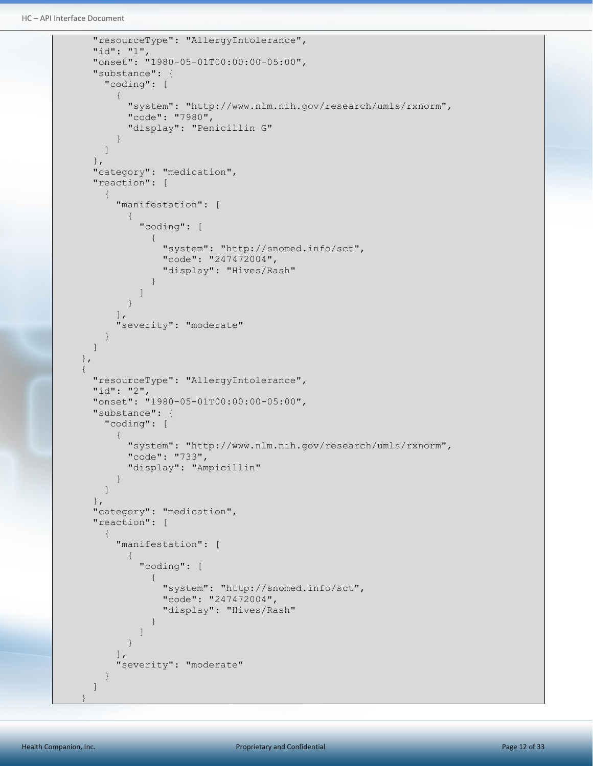```
 "resourceType": "AllergyIntolerance",
                     "id": "1",
                     "onset": "1980-05-01T00:00:00-05:00",
                     "substance": {
                            "coding": [
\left\{ \begin{array}{cc} 0 & 0 & 0 \\ 0 & 0 & 0 \\ 0 & 0 & 0 \\ 0 & 0 & 0 \\ 0 & 0 & 0 \\ 0 & 0 & 0 \\ 0 & 0 & 0 \\ 0 & 0 & 0 \\ 0 & 0 & 0 \\ 0 & 0 & 0 \\ 0 & 0 & 0 \\ 0 & 0 & 0 & 0 \\ 0 & 0 & 0 & 0 \\ 0 & 0 & 0 & 0 \\ 0 & 0 & 0 & 0 & 0 \\ 0 & 0 & 0 & 0 & 0 \\ 0 & 0 & 0 & 0 & 0 \\ 0 & 0 & 0 & 0 & 0 & 0 \\ 0 & 0 & 0 & 0 "system": "http://www.nlm.nih.gov/research/umls/rxnorm",
                                          "code": "7980",
                                          "display": "Penicillin G"
 }
                           ]
                    },
                     "category": "medication",
                     "reaction": [
\left\{ \begin{array}{cc} 0 & 0 & 0 \\ 0 & 0 & 0 \\ 0 & 0 & 0 \\ 0 & 0 & 0 \\ 0 & 0 & 0 \\ 0 & 0 & 0 \\ 0 & 0 & 0 \\ 0 & 0 & 0 \\ 0 & 0 & 0 \\ 0 & 0 & 0 \\ 0 & 0 & 0 \\ 0 & 0 & 0 & 0 \\ 0 & 0 & 0 & 0 \\ 0 & 0 & 0 & 0 \\ 0 & 0 & 0 & 0 & 0 \\ 0 & 0 & 0 & 0 & 0 \\ 0 & 0 & 0 & 0 & 0 \\ 0 & 0 & 0 & 0 & 0 \\ 0 & 0 & 0 & 0 & 0 "manifestation": [
\left\{ \begin{array}{cc} 0 & 0 & 0 \\ 0 & 0 & 0 \\ 0 & 0 & 0 \\ 0 & 0 & 0 \\ 0 & 0 & 0 \\ 0 & 0 & 0 \\ 0 & 0 & 0 \\ 0 & 0 & 0 \\ 0 & 0 & 0 \\ 0 & 0 & 0 \\ 0 & 0 & 0 \\ 0 & 0 & 0 \\ 0 & 0 & 0 & 0 \\ 0 & 0 & 0 & 0 \\ 0 & 0 & 0 & 0 \\ 0 & 0 & 0 & 0 & 0 \\ 0 & 0 & 0 & 0 & 0 \\ 0 & 0 & 0 & 0 & 0 \\ 0 & 0 & 0 & 0 & 0 & 0 \\ 0 "coding": [
\left\{ \begin{array}{cc} 0 & 0 & 0 \\ 0 & 0 & 0 \\ 0 & 0 & 0 \\ 0 & 0 & 0 \\ 0 & 0 & 0 \\ 0 & 0 & 0 \\ 0 & 0 & 0 \\ 0 & 0 & 0 \\ 0 & 0 & 0 \\ 0 & 0 & 0 \\ 0 & 0 & 0 \\ 0 & 0 & 0 & 0 \\ 0 & 0 & 0 & 0 \\ 0 & 0 & 0 & 0 \\ 0 & 0 & 0 & 0 & 0 \\ 0 & 0 & 0 & 0 & 0 \\ 0 & 0 & 0 & 0 & 0 \\ 0 & 0 & 0 & 0 & 0 & 0 \\ 0 & 0 & 0 & 0 "system": "http://snomed.info/sct",
                                                             "code": "247472004",
                                                              "display": "Hives/Rash"
 }
 ]
 }
                                  ],
                                   "severity": "moderate"
                            }
                    ]
              },
              {
                    "resourceType": "AllergyIntolerance",
                     "id": "2",
                     "onset": "1980-05-01T00:00:00-05:00",
                     "substance": {
                            "coding": [
\left\{ \begin{array}{cc} 0 & 0 & 0 \\ 0 & 0 & 0 \\ 0 & 0 & 0 \\ 0 & 0 & 0 \\ 0 & 0 & 0 \\ 0 & 0 & 0 \\ 0 & 0 & 0 \\ 0 & 0 & 0 \\ 0 & 0 & 0 \\ 0 & 0 & 0 \\ 0 & 0 & 0 \\ 0 & 0 & 0 & 0 \\ 0 & 0 & 0 & 0 \\ 0 & 0 & 0 & 0 \\ 0 & 0 & 0 & 0 & 0 \\ 0 & 0 & 0 & 0 & 0 \\ 0 & 0 & 0 & 0 & 0 \\ 0 & 0 & 0 & 0 & 0 & 0 \\ 0 & 0 & 0 & 0 "system": "http://www.nlm.nih.gov/research/umls/rxnorm",
                                         "code": "733",
                                         "display": "Ampicillin"
 }
                            ]
                     },
                     "category": "medication",
                     "reaction": [
\left\{ \begin{array}{ccc} 0 & 0 & 0 \\ 0 & 0 & 0 \\ 0 & 0 & 0 \\ 0 & 0 & 0 \\ 0 & 0 & 0 \\ 0 & 0 & 0 \\ 0 & 0 & 0 \\ 0 & 0 & 0 \\ 0 & 0 & 0 \\ 0 & 0 & 0 \\ 0 & 0 & 0 \\ 0 & 0 & 0 \\ 0 & 0 & 0 \\ 0 & 0 & 0 & 0 \\ 0 & 0 & 0 & 0 \\ 0 & 0 & 0 & 0 \\ 0 & 0 & 0 & 0 \\ 0 & 0 & 0 & 0 & 0 \\ 0 & 0 & 0 & 0 & 0 \\ 0 & 0 & 0 & 0 & 0 "manifestation": [
\left\{ \begin{array}{cc} 0 & 0 & 0 \\ 0 & 0 & 0 \\ 0 & 0 & 0 \\ 0 & 0 & 0 \\ 0 & 0 & 0 \\ 0 & 0 & 0 \\ 0 & 0 & 0 \\ 0 & 0 & 0 \\ 0 & 0 & 0 \\ 0 & 0 & 0 \\ 0 & 0 & 0 \\ 0 & 0 & 0 \\ 0 & 0 & 0 & 0 \\ 0 & 0 & 0 & 0 \\ 0 & 0 & 0 & 0 \\ 0 & 0 & 0 & 0 & 0 \\ 0 & 0 & 0 & 0 & 0 \\ 0 & 0 & 0 & 0 & 0 \\ 0 & 0 & 0 & 0 & 0 & 0 \\ 0 "coding": [
\left\{ \begin{array}{cc} 0 & 0 & 0 \\ 0 & 0 & 0 \\ 0 & 0 & 0 \\ 0 & 0 & 0 \\ 0 & 0 & 0 \\ 0 & 0 & 0 \\ 0 & 0 & 0 \\ 0 & 0 & 0 \\ 0 & 0 & 0 \\ 0 & 0 & 0 \\ 0 & 0 & 0 \\ 0 & 0 & 0 & 0 \\ 0 & 0 & 0 & 0 \\ 0 & 0 & 0 & 0 \\ 0 & 0 & 0 & 0 & 0 \\ 0 & 0 & 0 & 0 & 0 \\ 0 & 0 & 0 & 0 & 0 \\ 0 & 0 & 0 & 0 & 0 & 0 \\ 0 & 0 & 0 & 0 "system": "http://snomed.info/sct",
                                                             "code": "247472004",
                                                              "display": "Hives/Rash"
 }
 ]
 }
                                  \vert,
                                   "severity": "moderate"
 }
                    ]
 }
```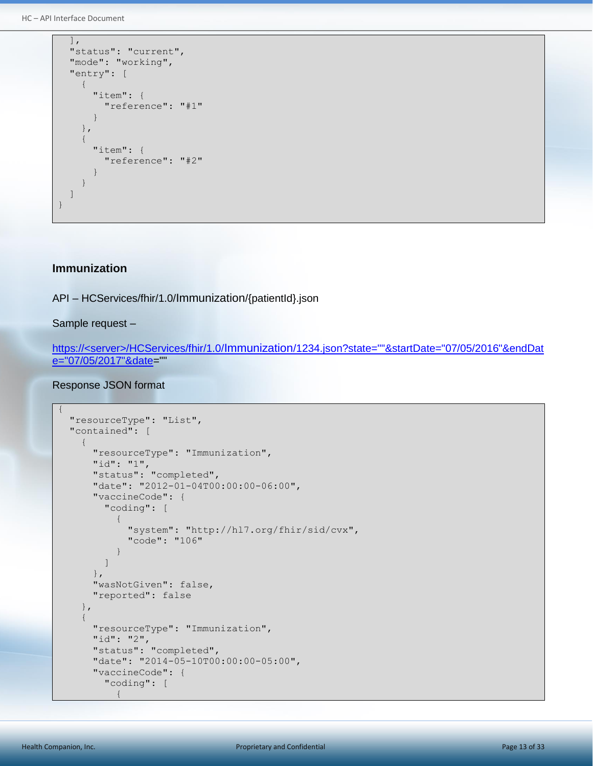HC – API Interface Document

```
\vert,
        "status": "current",
        "mode": "working",
        "entry": [
               {
                       "item": {
                               "reference": "#1"
                        }
               },
                {
                       "item": {
                               "reference": "#2"
\left\{\begin{array}{ccc} 1 & 0 & 0 \\ 0 & 0 & 0 \\ 0 & 0 & 0 \\ 0 & 0 & 0 \\ 0 & 0 & 0 \\ 0 & 0 & 0 \\ 0 & 0 & 0 \\ 0 & 0 & 0 \\ 0 & 0 & 0 \\ 0 & 0 & 0 \\ 0 & 0 & 0 \\ 0 & 0 & 0 \\ 0 & 0 & 0 & 0 \\ 0 & 0 & 0 & 0 \\ 0 & 0 & 0 & 0 \\ 0 & 0 & 0 & 0 & 0 \\ 0 & 0 & 0 & 0 & 0 \\ 0 & 0 & 0 & 0 & 0 \\ 0 & 0 & 0 & 0 & 0 \\ 0 & 0 & }
       ]
}
```
#### <span id="page-12-0"></span>**Immunization**

API – HCServices/fhir/1.0/Immunization/{patientId}.json

Sample request –

https://<server>/HCServices/fhir/1.0/Immunization/1234.json?state=""&startDate="07/05/2016"&endDat e="07/05/2017"&date=""

```
{
    "resourceType": "List",
    "contained": [
       {
           "resourceType": "Immunization",
 "id": "1",
 "status": "completed",
           "date": "2012-01-04T00:00:00-06:00",
           "vaccineCode": {
              "coding": [
                  {
                      "system": "http://hl7.org/fhir/sid/cvx",
                     "code": "106"
 }
             \lceil },
           "wasNotGiven": false,
           "reported": false
       },
        {
           "resourceType": "Immunization",
           "id": "2",
           "status": "completed",
           "date": "2014-05-10T00:00:00-05:00",
           "vaccineCode": {
              "coding": [
\left\{ \begin{array}{cc} 0 & 0 & 0 \\ 0 & 0 & 0 \\ 0 & 0 & 0 \\ 0 & 0 & 0 \\ 0 & 0 & 0 \\ 0 & 0 & 0 \\ 0 & 0 & 0 \\ 0 & 0 & 0 \\ 0 & 0 & 0 \\ 0 & 0 & 0 \\ 0 & 0 & 0 \\ 0 & 0 & 0 & 0 \\ 0 & 0 & 0 & 0 \\ 0 & 0 & 0 & 0 \\ 0 & 0 & 0 & 0 & 0 \\ 0 & 0 & 0 & 0 & 0 \\ 0 & 0 & 0 & 0 & 0 \\ 0 & 0 & 0 & 0 & 0 & 0 \\ 0 & 0 & 0 & 0
```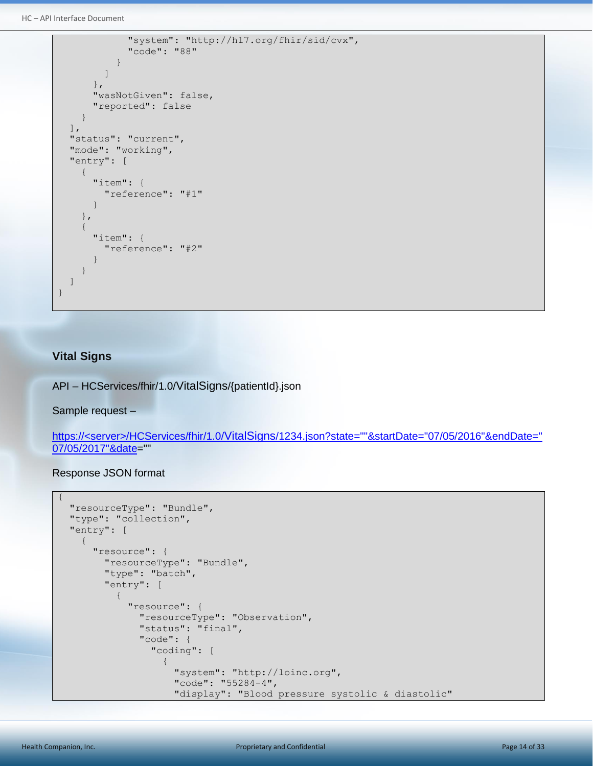HC – API Interface Document

```
 "system": "http://hl7.org/fhir/sid/cvx",
               "code": "88"
            }
         ]
       },
       "wasNotGiven": false,
        "reported": false
     }
 \vert,
   "status": "current",
  "mode": "working",
   "entry": [
     {
       "item": {
         "reference": "#1"
       }
     },
     {
       "item": {
          "reference": "#2"
        }
     }
 \, ]
}
```
#### <span id="page-13-0"></span>**Vital Signs**

API – HCServices/fhir/1.0/VitalSigns/{patientId}.json

Sample request –

https://<server>/HCServices/fhir/1.0/VitalSigns/1234.json?state=""&startDate="07/05/2016"&endDate=" 07/05/2017"&date=""

```
{
      "resourceType": "Bundle",
      "type": "collection",
      "entry": [
            {
                  "resource": {
                       "resourceType": "Bundle",
                       "type": "batch",
                       "entry": [
\left\{ \begin{array}{cc} 0 & 0 & 0 \\ 0 & 0 & 0 \\ 0 & 0 & 0 \\ 0 & 0 & 0 \\ 0 & 0 & 0 \\ 0 & 0 & 0 \\ 0 & 0 & 0 \\ 0 & 0 & 0 \\ 0 & 0 & 0 \\ 0 & 0 & 0 \\ 0 & 0 & 0 \\ 0 & 0 & 0 & 0 \\ 0 & 0 & 0 & 0 \\ 0 & 0 & 0 & 0 \\ 0 & 0 & 0 & 0 & 0 \\ 0 & 0 & 0 & 0 & 0 \\ 0 & 0 & 0 & 0 & 0 \\ 0 & 0 & 0 & 0 & 0 & 0 \\ 0 & 0 & 0 & 0 "resource": {
                                         "resourceType": "Observation",
                                         "status": "final",
                                         "code": {
                                               "coding": [
\left\{ \begin{array}{cc} 0 & 0 & 0 \\ 0 & 0 & 0 \\ 0 & 0 & 0 \\ 0 & 0 & 0 \\ 0 & 0 & 0 \\ 0 & 0 & 0 \\ 0 & 0 & 0 \\ 0 & 0 & 0 \\ 0 & 0 & 0 \\ 0 & 0 & 0 \\ 0 & 0 & 0 \\ 0 & 0 & 0 & 0 \\ 0 & 0 & 0 & 0 \\ 0 & 0 & 0 & 0 \\ 0 & 0 & 0 & 0 & 0 \\ 0 & 0 & 0 & 0 & 0 \\ 0 & 0 & 0 & 0 & 0 \\ 0 & 0 & 0 & 0 & 0 & 0 \\ 0 & 0 & 0 & 0 "system": "http://loinc.org",
                                                           "code": "55284-4",
                                                          "display": "Blood pressure systolic & diastolic"
```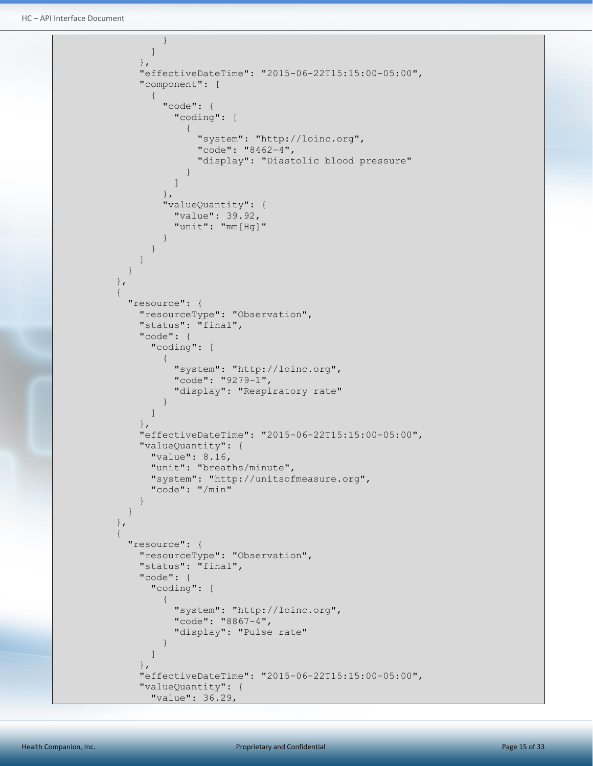```
\mathbb{R}^n ) and the set of the set of the set of \mathbb{R}^n ]
                               },
                              "effectiveDateTime": "2015-06-22T15:15:00-05:00",
                               "component": [
\left\{ \begin{array}{cc} 0 & 0 & 0 \\ 0 & 0 & 0 \\ 0 & 0 & 0 \\ 0 & 0 & 0 \\ 0 & 0 & 0 \\ 0 & 0 & 0 \\ 0 & 0 & 0 \\ 0 & 0 & 0 \\ 0 & 0 & 0 \\ 0 & 0 & 0 \\ 0 & 0 & 0 \\ 0 & 0 & 0 & 0 \\ 0 & 0 & 0 & 0 \\ 0 & 0 & 0 & 0 \\ 0 & 0 & 0 & 0 & 0 \\ 0 & 0 & 0 & 0 & 0 \\ 0 & 0 & 0 & 0 & 0 \\ 0 & 0 & 0 & 0 & 0 & 0 \\ 0 & 0 & 0 & 0 "code": {
                                           "coding": [
\{ "system": "http://loinc.org",
                                                   "code": "8462-4",
                                                   "display": "Diastolic blood pressure"
denotes the contract of the contract of the contract of the contract of the contract of the contract of the contract of the contract of the contract of the contract of the contract of the contract of the contract of the co
 ]
                                       },
                                      "valueQuantity": {
                                           "value": 39.92,
                                          "unit": "mm[Hg]"
 }
 }
 ]
 }
                      },
\left\{ \begin{array}{cc} 0 & 0 & 0 \\ 0 & 0 & 0 \\ 0 & 0 & 0 \\ 0 & 0 & 0 \\ 0 & 0 & 0 \\ 0 & 0 & 0 \\ 0 & 0 & 0 \\ 0 & 0 & 0 \\ 0 & 0 & 0 \\ 0 & 0 & 0 \\ 0 & 0 & 0 \\ 0 & 0 & 0 & 0 \\ 0 & 0 & 0 & 0 \\ 0 & 0 & 0 & 0 \\ 0 & 0 & 0 & 0 & 0 \\ 0 & 0 & 0 & 0 & 0 \\ 0 & 0 & 0 & 0 & 0 \\ 0 & 0 & 0 & 0 & 0 & 0 \\ 0 & 0 & 0 & 0 "resource": {
                              "resourceType": "Observation",
                              "status": "final",
                              "code": {
                                   "coding": [
\{ "system": "http://loinc.org",
                                          "code": "9279-1",
                                          "display": "Respiratory rate"
 }
 ]
                              },
                              "effectiveDateTime": "2015-06-22T15:15:00-05:00",
                              "valueQuantity": {
                                  "value": 8.16,
                                   "unit": "breaths/minute",
                                   "system": "http://unitsofmeasure.org",
                                   "code": "/min"
 }
 }
                      },
\left\{ \begin{array}{cc} 0 & 0 & 0 \\ 0 & 0 & 0 \\ 0 & 0 & 0 \\ 0 & 0 & 0 \\ 0 & 0 & 0 \\ 0 & 0 & 0 \\ 0 & 0 & 0 \\ 0 & 0 & 0 \\ 0 & 0 & 0 \\ 0 & 0 & 0 \\ 0 & 0 & 0 \\ 0 & 0 & 0 & 0 \\ 0 & 0 & 0 & 0 \\ 0 & 0 & 0 & 0 \\ 0 & 0 & 0 & 0 & 0 \\ 0 & 0 & 0 & 0 & 0 \\ 0 & 0 & 0 & 0 & 0 \\ 0 & 0 & 0 & 0 & 0 & 0 \\ 0 & 0 & 0 & 0 "resource": {
                              "resourceType": "Observation",
                              "status": "final",
                               "code": {
                                   "coding": [
{1 \over 2} {1 \over 2} {1 \over 2} {1 \over 2} {1 \over 2} {1 \over 2} {1 \over 2} {1 \over 2} {1 \over 2} {1 \over 2} {1 \over 2} {1 \over 2} {1 \over 2} {1 \over 2} {1 \over 2} {1 \over 2} {1 \over 2} {1 \over 2} {1 \over 2} {1 \over 2} {1 \over 2} {1 \over 2}  "system": "http://loinc.org",
                                          "code": "8867-4",
                                          "display": "Pulse rate"
 }
and the state of the state of the state of
\{ , \{, \}, \{, \}, \{, \}, \{ "effectiveDateTime": "2015-06-22T15:15:00-05:00",
                              "valueQuantity": {
                                  "value": 36.29,
```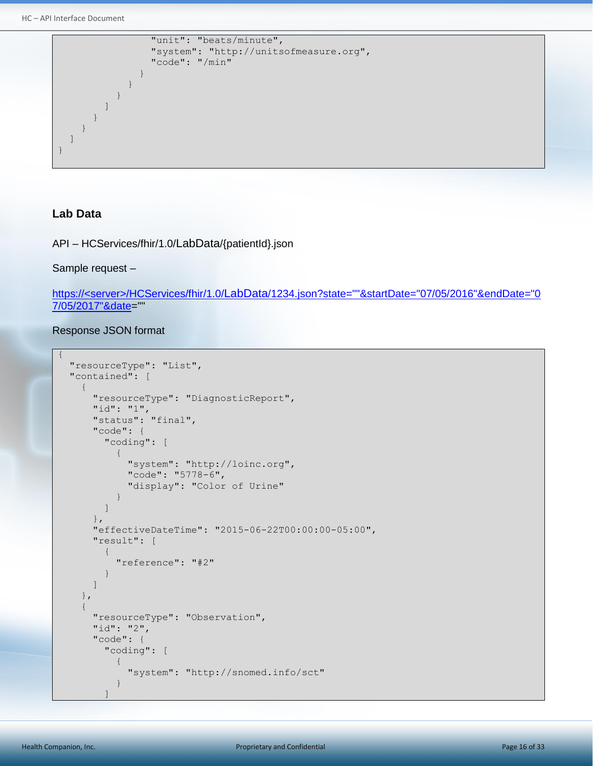```
 "unit": "beats/minute",
               "system": "http://unitsofmeasure.org",
               "code": "/min"
 }
 }
 }
        ]
      }
    }
 \lceil}
```
#### <span id="page-15-0"></span>**Lab Data**

{

API – HCServices/fhir/1.0/LabData/{patientId}.json

#### Sample request –

https://<server>/HCServices/fhir/1.0/LabData/1234.json?state=""&startDate="07/05/2016"&endDate="0 7/05/2017"&date=""

```
 "resourceType": "List",
    "contained": [
        {
           "resourceType": "DiagnosticReport",
           "id": "1",
           "status": "final",
           "code": {
               "coding": [
\left\{ \begin{array}{cc} 0 & 0 & 0 \\ 0 & 0 & 0 \\ 0 & 0 & 0 \\ 0 & 0 & 0 \\ 0 & 0 & 0 \\ 0 & 0 & 0 \\ 0 & 0 & 0 \\ 0 & 0 & 0 \\ 0 & 0 & 0 \\ 0 & 0 & 0 \\ 0 & 0 & 0 \\ 0 & 0 & 0 & 0 \\ 0 & 0 & 0 & 0 \\ 0 & 0 & 0 & 0 \\ 0 & 0 & 0 & 0 & 0 \\ 0 & 0 & 0 & 0 & 0 \\ 0 & 0 & 0 & 0 & 0 \\ 0 & 0 & 0 & 0 & 0 & 0 \\ 0 & 0 & 0 & 0 "system": "http://loinc.org",
                      "code": "5778-6",
                      "display": "Color of Urine"
 }
              ]
           },
           "effectiveDateTime": "2015-06-22T00:00:00-05:00",
           "result": [
               {
                  "reference": "#2"
 }
           ]
       },
        {
           "resourceType": "Observation",
           "id": "2",
           "code": {
               "coding": [
                  {
                      "system": "http://snomed.info/sct"
                  }
 ]
```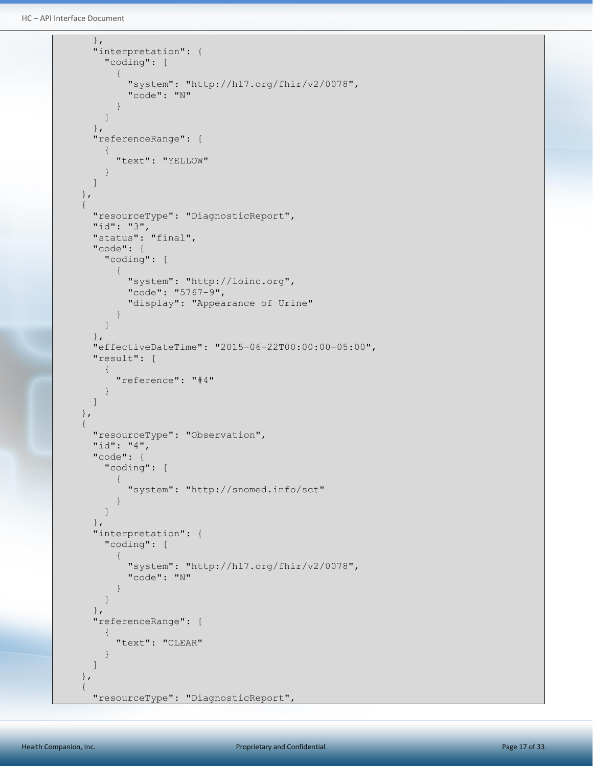```
HC – API Interface Document
```

```
 },
                      "interpretation": {
                            "coding": [
\left\{ \begin{array}{cc} 0 & 0 & 0 \\ 0 & 0 & 0 \\ 0 & 0 & 0 \\ 0 & 0 & 0 \\ 0 & 0 & 0 \\ 0 & 0 & 0 \\ 0 & 0 & 0 \\ 0 & 0 & 0 \\ 0 & 0 & 0 \\ 0 & 0 & 0 \\ 0 & 0 & 0 \\ 0 & 0 & 0 \\ 0 & 0 & 0 & 0 \\ 0 & 0 & 0 & 0 \\ 0 & 0 & 0 & 0 \\ 0 & 0 & 0 & 0 & 0 \\ 0 & 0 & 0 & 0 & 0 \\ 0 & 0 & 0 & 0 & 0 \\ 0 & 0 & 0 & 0 & 0 & 0 \\ 0 "system": "http://hl7.org/fhir/v2/0078",
                                           "code": "N"
 }
                            ]
                     },
                      "referenceRange": [
                            {
                                    "text": "YELLOW"
                            }
                     ]
              },
              {
                     "resourceType": "DiagnosticReport",
                     "id": "3",
                     "status": "final",
                      "code": {
                             "coding": [
\left\{ \begin{array}{cc} 0 & 0 & 0 \\ 0 & 0 & 0 \\ 0 & 0 & 0 \\ 0 & 0 & 0 \\ 0 & 0 & 0 \\ 0 & 0 & 0 \\ 0 & 0 & 0 \\ 0 & 0 & 0 \\ 0 & 0 & 0 \\ 0 & 0 & 0 \\ 0 & 0 & 0 \\ 0 & 0 & 0 \\ 0 & 0 & 0 & 0 \\ 0 & 0 & 0 & 0 \\ 0 & 0 & 0 & 0 \\ 0 & 0 & 0 & 0 & 0 \\ 0 & 0 & 0 & 0 & 0 \\ 0 & 0 & 0 & 0 & 0 \\ 0 & 0 & 0 & 0 & 0 & 0 \\ 0 "system": "http://loinc.org",
                                          "code": "5767-9",
                                          "display": "Appearance of Urine"
 }
                            ]
                     },
                     "effectiveDateTime": "2015-06-22T00:00:00-05:00",
                      "result": [
\left\{ \begin{array}{ccc} 0 & 0 & 0 \\ 0 & 0 & 0 \\ 0 & 0 & 0 \\ 0 & 0 & 0 \\ 0 & 0 & 0 \\ 0 & 0 & 0 \\ 0 & 0 & 0 \\ 0 & 0 & 0 \\ 0 & 0 & 0 \\ 0 & 0 & 0 \\ 0 & 0 & 0 \\ 0 & 0 & 0 \\ 0 & 0 & 0 \\ 0 & 0 & 0 & 0 \\ 0 & 0 & 0 & 0 \\ 0 & 0 & 0 & 0 \\ 0 & 0 & 0 & 0 \\ 0 & 0 & 0 & 0 & 0 \\ 0 & 0 & 0 & 0 & 0 \\ 0 & 0 & 0 & 0 & 0 "reference": "#4"
 }
                     ]
              },
               {
                     "resourceType": "Observation",
                     "id": "4",
                     "code": {
                            "coding": [
\left\{ \begin{array}{cc} 0 & 0 & 0 \\ 0 & 0 & 0 \\ 0 & 0 & 0 \\ 0 & 0 & 0 \\ 0 & 0 & 0 \\ 0 & 0 & 0 \\ 0 & 0 & 0 \\ 0 & 0 & 0 \\ 0 & 0 & 0 \\ 0 & 0 & 0 \\ 0 & 0 & 0 \\ 0 & 0 & 0 \\ 0 & 0 & 0 & 0 \\ 0 & 0 & 0 & 0 \\ 0 & 0 & 0 & 0 \\ 0 & 0 & 0 & 0 & 0 \\ 0 & 0 & 0 & 0 & 0 \\ 0 & 0 & 0 & 0 & 0 \\ 0 & 0 & 0 & 0 & 0 & 0 \\ 0 "system": "http://snomed.info/sct"
 }
                            ]
                     },
                      "interpretation": {
                            "coding": [
\left\{ \begin{array}{cc} 0 & 0 & 0 \\ 0 & 0 & 0 \\ 0 & 0 & 0 \\ 0 & 0 & 0 \\ 0 & 0 & 0 \\ 0 & 0 & 0 \\ 0 & 0 & 0 \\ 0 & 0 & 0 \\ 0 & 0 & 0 \\ 0 & 0 & 0 \\ 0 & 0 & 0 \\ 0 & 0 & 0 & 0 \\ 0 & 0 & 0 & 0 \\ 0 & 0 & 0 & 0 \\ 0 & 0 & 0 & 0 & 0 \\ 0 & 0 & 0 & 0 & 0 \\ 0 & 0 & 0 & 0 & 0 \\ 0 & 0 & 0 & 0 & 0 & 0 \\ 0 & 0 & 0 & 0 "system": "http://hl7.org/fhir/v2/0078",
                                           "code": "N"
 }
                            ]
                     },
                      "referenceRange": [
\left\{ \begin{array}{ccc} 0 & 0 & 0 \\ 0 & 0 & 0 \\ 0 & 0 & 0 \\ 0 & 0 & 0 \\ 0 & 0 & 0 \\ 0 & 0 & 0 \\ 0 & 0 & 0 \\ 0 & 0 & 0 \\ 0 & 0 & 0 \\ 0 & 0 & 0 \\ 0 & 0 & 0 \\ 0 & 0 & 0 \\ 0 & 0 & 0 \\ 0 & 0 & 0 & 0 \\ 0 & 0 & 0 & 0 \\ 0 & 0 & 0 & 0 \\ 0 & 0 & 0 & 0 \\ 0 & 0 & 0 & 0 & 0 \\ 0 & 0 & 0 & 0 & 0 \\ 0 & 0 & 0 & 0 & 0 "text": "CLEAR"
                            }
                     ]
              },
               {
                     "resourceType": "DiagnosticReport",
```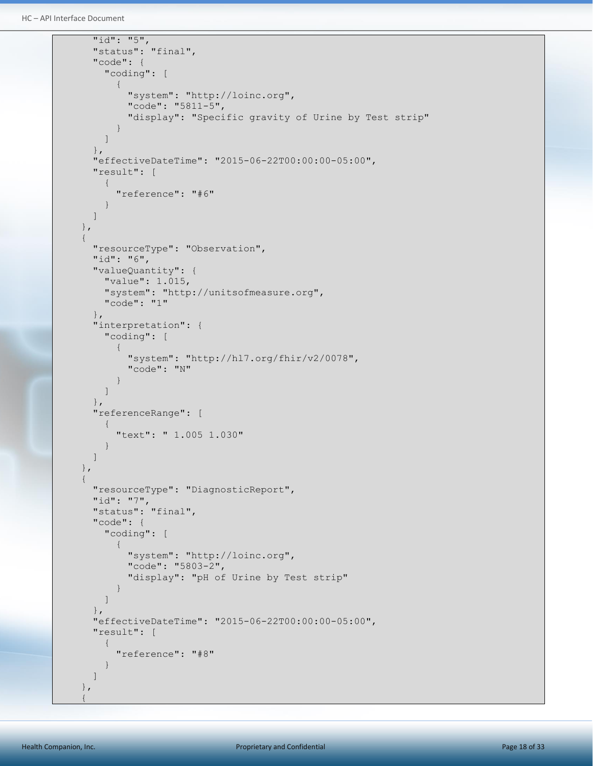```
HC – API Interface Document
```

```
 "id": "5",
                  "status": "final",
                  "code": {
                       "coding": [
\left\{ \begin{array}{cc} 0 & 0 & 0 \\ 0 & 0 & 0 \\ 0 & 0 & 0 \\ 0 & 0 & 0 \\ 0 & 0 & 0 \\ 0 & 0 & 0 \\ 0 & 0 & 0 \\ 0 & 0 & 0 \\ 0 & 0 & 0 \\ 0 & 0 & 0 \\ 0 & 0 & 0 \\ 0 & 0 & 0 & 0 \\ 0 & 0 & 0 & 0 \\ 0 & 0 & 0 & 0 \\ 0 & 0 & 0 & 0 & 0 \\ 0 & 0 & 0 & 0 & 0 \\ 0 & 0 & 0 & 0 & 0 \\ 0 & 0 & 0 & 0 & 0 & 0 \\ 0 & 0 & 0 & 0 "system": "http://loinc.org",
                                   "code": "5811-5",
                                   "display": "Specific gravity of Urine by Test strip"
 }
                      ]
                 },
                 "effectiveDateTime": "2015-06-22T00:00:00-05:00",
                 "result": [
\left\{ \begin{array}{ccc} 0 & 0 & 0 \\ 0 & 0 & 0 \\ 0 & 0 & 0 \\ 0 & 0 & 0 \\ 0 & 0 & 0 \\ 0 & 0 & 0 \\ 0 & 0 & 0 \\ 0 & 0 & 0 \\ 0 & 0 & 0 \\ 0 & 0 & 0 \\ 0 & 0 & 0 \\ 0 & 0 & 0 \\ 0 & 0 & 0 \\ 0 & 0 & 0 & 0 \\ 0 & 0 & 0 & 0 \\ 0 & 0 & 0 & 0 \\ 0 & 0 & 0 & 0 \\ 0 & 0 & 0 & 0 & 0 \\ 0 & 0 & 0 & 0 & 0 \\ 0 & 0 & 0 & 0 & 0 "reference": "#6"
 }
                 ]
           },
            {
                 "resourceType": "Observation",
                 "id": "6",
                  "valueQuantity": {
                       "value": 1.015,
                       "system": "http://unitsofmeasure.org",
                       "code": "1"
                 },
                  "interpretation": {
                       "coding": [
\left\{ \begin{array}{cc} 0 & 0 & 0 \\ 0 & 0 & 0 \\ 0 & 0 & 0 \\ 0 & 0 & 0 \\ 0 & 0 & 0 \\ 0 & 0 & 0 \\ 0 & 0 & 0 \\ 0 & 0 & 0 \\ 0 & 0 & 0 \\ 0 & 0 & 0 \\ 0 & 0 & 0 \\ 0 & 0 & 0 & 0 \\ 0 & 0 & 0 & 0 \\ 0 & 0 & 0 & 0 \\ 0 & 0 & 0 & 0 & 0 \\ 0 & 0 & 0 & 0 & 0 \\ 0 & 0 & 0 & 0 & 0 \\ 0 & 0 & 0 & 0 & 0 & 0 \\ 0 & 0 & 0 & 0 "system": "http://hl7.org/fhir/v2/0078",
                                  "code": "N"
 }
 ]
                 },
                  "referenceRange": [
                       {
                             "text": " 1.005 1.030"
 }
                 ]
            },
            {
                 "resourceType": "DiagnosticReport",
                 "id": "7",
                 "status": "final",
                 "code": {
                       "coding": [
\left\{ \begin{array}{cc} 0 & 0 & 0 \\ 0 & 0 & 0 \\ 0 & 0 & 0 \\ 0 & 0 & 0 \\ 0 & 0 & 0 \\ 0 & 0 & 0 \\ 0 & 0 & 0 \\ 0 & 0 & 0 \\ 0 & 0 & 0 \\ 0 & 0 & 0 \\ 0 & 0 & 0 \\ 0 & 0 & 0 & 0 \\ 0 & 0 & 0 & 0 \\ 0 & 0 & 0 & 0 \\ 0 & 0 & 0 & 0 & 0 \\ 0 & 0 & 0 & 0 & 0 \\ 0 & 0 & 0 & 0 & 0 \\ 0 & 0 & 0 & 0 & 0 & 0 \\ 0 & 0 & 0 & 0 "system": "http://loinc.org",
                                   "code": "5803-2",
                                   "display": "pH of Urine by Test strip"
 }
                      ]
                 },
                 "effectiveDateTime": "2015-06-22T00:00:00-05:00",
                  "result": [
\left\{ \begin{array}{ccc} 0 & 0 & 0 \\ 0 & 0 & 0 \\ 0 & 0 & 0 \\ 0 & 0 & 0 \\ 0 & 0 & 0 \\ 0 & 0 & 0 \\ 0 & 0 & 0 \\ 0 & 0 & 0 \\ 0 & 0 & 0 \\ 0 & 0 & 0 \\ 0 & 0 & 0 \\ 0 & 0 & 0 \\ 0 & 0 & 0 \\ 0 & 0 & 0 & 0 \\ 0 & 0 & 0 & 0 \\ 0 & 0 & 0 & 0 \\ 0 & 0 & 0 & 0 \\ 0 & 0 & 0 & 0 & 0 \\ 0 & 0 & 0 & 0 & 0 \\ 0 & 0 & 0 & 0 & 0 "reference": "#8"
 }
                 ]
           },
\left\{\begin{array}{ccc} \end{array}\right\}
```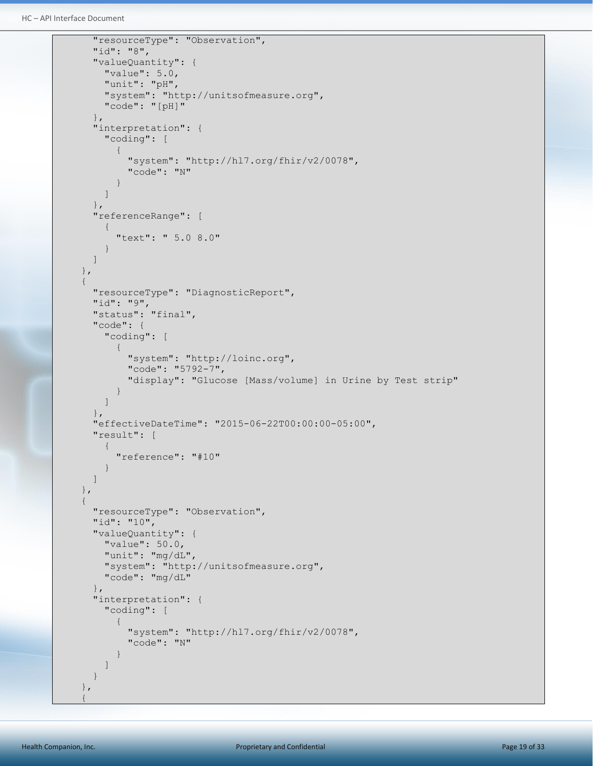```
HC – API Interface Document
```

```
 "resourceType": "Observation",
              "id": "8",
              "valueQuantity": {
                 "value": 5.0,
                 "unit": "pH",
                  "system": "http://unitsofmeasure.org",
                  "code": "[pH]"
             },
              "interpretation": {
                  "coding": [
\left\{ \begin{array}{cc} 0 & 0 & 0 \\ 0 & 0 & 0 \\ 0 & 0 & 0 \\ 0 & 0 & 0 \\ 0 & 0 & 0 \\ 0 & 0 & 0 \\ 0 & 0 & 0 \\ 0 & 0 & 0 \\ 0 & 0 & 0 \\ 0 & 0 & 0 \\ 0 & 0 & 0 \\ 0 & 0 & 0 & 0 \\ 0 & 0 & 0 & 0 \\ 0 & 0 & 0 & 0 \\ 0 & 0 & 0 & 0 & 0 \\ 0 & 0 & 0 & 0 & 0 \\ 0 & 0 & 0 & 0 & 0 \\ 0 & 0 & 0 & 0 & 0 & 0 \\ 0 & 0 & 0 & 0 "system": "http://hl7.org/fhir/v2/0078",
                          "code": "N"
 }
                 ]
             },
              "referenceRange": [
                  {
                      "text": " 5.0 8.0"
 }
             ]
         },
         {
             "resourceType": "DiagnosticReport",
             "id": "9",
             "status": "final",
              "code": {
                  "coding": [
\left\{ \begin{array}{cc} 0 & 0 & 0 \\ 0 & 0 & 0 \\ 0 & 0 & 0 \\ 0 & 0 & 0 \\ 0 & 0 & 0 \\ 0 & 0 & 0 \\ 0 & 0 & 0 \\ 0 & 0 & 0 \\ 0 & 0 & 0 \\ 0 & 0 & 0 \\ 0 & 0 & 0 \\ 0 & 0 & 0 & 0 \\ 0 & 0 & 0 & 0 \\ 0 & 0 & 0 & 0 \\ 0 & 0 & 0 & 0 & 0 \\ 0 & 0 & 0 & 0 & 0 \\ 0 & 0 & 0 & 0 & 0 \\ 0 & 0 & 0 & 0 & 0 & 0 \\ 0 & 0 & 0 & 0 "system": "http://loinc.org",
                          "code": "5792-7",
                          "display": "Glucose [Mass/volume] in Urine by Test strip"
 }
                 ]
              },
             "effectiveDateTime": "2015-06-22T00:00:00-05:00",
              "result": [
                  {
                      "reference": "#10"
 }
             ]
         },
         {
             "resourceType": "Observation",
             "id": "10",
             "valueQuantity": {
                 "value": 50.0,
                  "unit": "mg/dL",
                  "system": "http://unitsofmeasure.org",
                  "code": "mg/dL"
             },
              "interpretation": {
                  "coding": [
\left\{ \begin{array}{cc} 0 & 0 & 0 \\ 0 & 0 & 0 \\ 0 & 0 & 0 \\ 0 & 0 & 0 \\ 0 & 0 & 0 \\ 0 & 0 & 0 \\ 0 & 0 & 0 \\ 0 & 0 & 0 \\ 0 & 0 & 0 \\ 0 & 0 & 0 \\ 0 & 0 & 0 \\ 0 & 0 & 0 \\ 0 & 0 & 0 & 0 \\ 0 & 0 & 0 & 0 \\ 0 & 0 & 0 & 0 \\ 0 & 0 & 0 & 0 & 0 \\ 0 & 0 & 0 & 0 & 0 \\ 0 & 0 & 0 & 0 & 0 \\ 0 & 0 & 0 & 0 & 0 \\ 0 & 0 "system": "http://hl7.org/fhir/v2/0078",
                          "code": "N"
 }
                  ]
             }
         },
\left\{\begin{array}{ccc} \end{array}\right\}
```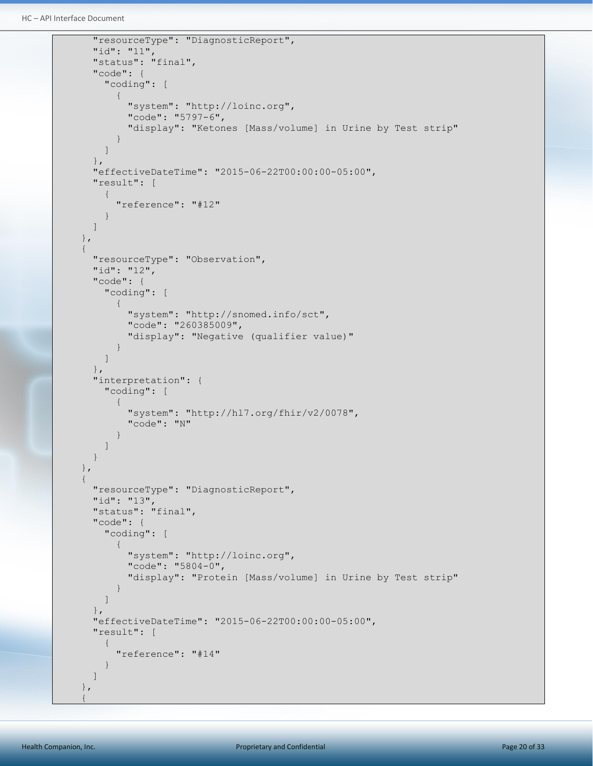```
HC – API Interface Document
```

```
 "resourceType": "DiagnosticReport",
                   "id": "11",
                   "status": "final",
                   "code": {
                         "coding": [
\left\{ \begin{array}{cc} 0 & 0 & 0 \\ 0 & 0 & 0 \\ 0 & 0 & 0 \\ 0 & 0 & 0 \\ 0 & 0 & 0 \\ 0 & 0 & 0 \\ 0 & 0 & 0 \\ 0 & 0 & 0 \\ 0 & 0 & 0 \\ 0 & 0 & 0 \\ 0 & 0 & 0 \\ 0 & 0 & 0 & 0 \\ 0 & 0 & 0 & 0 \\ 0 & 0 & 0 & 0 \\ 0 & 0 & 0 & 0 & 0 \\ 0 & 0 & 0 & 0 & 0 \\ 0 & 0 & 0 & 0 & 0 \\ 0 & 0 & 0 & 0 & 0 & 0 \\ 0 & 0 & 0 & 0 "system": "http://loinc.org",
                                      "code": "5797-6",
                                     "display": "Ketones [Mass/volume] in Urine by Test strip"
 }
                        ]
                  },
                   "effectiveDateTime": "2015-06-22T00:00:00-05:00",
                   "result": [
\left\{ \begin{array}{cc} 0 & 0 & 0 \\ 0 & 0 & 0 \\ 0 & 0 & 0 \\ 0 & 0 & 0 \\ 0 & 0 & 0 \\ 0 & 0 & 0 \\ 0 & 0 & 0 \\ 0 & 0 & 0 \\ 0 & 0 & 0 \\ 0 & 0 & 0 \\ 0 & 0 & 0 \\ 0 & 0 & 0 & 0 \\ 0 & 0 & 0 & 0 \\ 0 & 0 & 0 & 0 \\ 0 & 0 & 0 & 0 & 0 \\ 0 & 0 & 0 & 0 & 0 \\ 0 & 0 & 0 & 0 & 0 \\ 0 & 0 & 0 & 0 & 0 \\ 0 & 0 & 0 & 0 & 0 "reference": "#12"
                         }
                  \mathbf{I} },
             {
                   "resourceType": "Observation",
                   "id": "12",
                   "code": {
                         "coding": [
\left\{ \begin{array}{cc} 0 & 0 & 0 \\ 0 & 0 & 0 \\ 0 & 0 & 0 \\ 0 & 0 & 0 \\ 0 & 0 & 0 \\ 0 & 0 & 0 \\ 0 & 0 & 0 \\ 0 & 0 & 0 \\ 0 & 0 & 0 \\ 0 & 0 & 0 \\ 0 & 0 & 0 \\ 0 & 0 & 0 \\ 0 & 0 & 0 & 0 \\ 0 & 0 & 0 & 0 \\ 0 & 0 & 0 & 0 \\ 0 & 0 & 0 & 0 & 0 \\ 0 & 0 & 0 & 0 & 0 \\ 0 & 0 & 0 & 0 & 0 \\ 0 & 0 & 0 & 0 & 0 \\ 0 & 0 "system": "http://snomed.info/sct",
                                     "code": "260385009",
                                     "display": "Negative (qualifier value)"
 }
                        ]
                   },
                   "interpretation": {
                         "coding": [
\left\{ \begin{array}{cc} 0 & 0 & 0 \\ 0 & 0 & 0 \\ 0 & 0 & 0 \\ 0 & 0 & 0 \\ 0 & 0 & 0 \\ 0 & 0 & 0 \\ 0 & 0 & 0 \\ 0 & 0 & 0 \\ 0 & 0 & 0 \\ 0 & 0 & 0 \\ 0 & 0 & 0 \\ 0 & 0 & 0 & 0 \\ 0 & 0 & 0 & 0 \\ 0 & 0 & 0 & 0 \\ 0 & 0 & 0 & 0 & 0 \\ 0 & 0 & 0 & 0 & 0 \\ 0 & 0 & 0 & 0 & 0 \\ 0 & 0 & 0 & 0 & 0 & 0 \\ 0 & 0 & 0 & 0 "system": "http://hl7.org/fhir/v2/0078",
                                      "code": "N"
 }
                         ]
                   }
             },
             {
                   "resourceType": "DiagnosticReport",
                   "id": "13",
                   "status": "final",
                   "code": {
                         "coding": [
\left\{ \begin{array}{cc} 0 & 0 & 0 \\ 0 & 0 & 0 \\ 0 & 0 & 0 \\ 0 & 0 & 0 \\ 0 & 0 & 0 \\ 0 & 0 & 0 \\ 0 & 0 & 0 \\ 0 & 0 & 0 \\ 0 & 0 & 0 \\ 0 & 0 & 0 \\ 0 & 0 & 0 \\ 0 & 0 & 0 & 0 \\ 0 & 0 & 0 & 0 \\ 0 & 0 & 0 & 0 \\ 0 & 0 & 0 & 0 & 0 \\ 0 & 0 & 0 & 0 & 0 \\ 0 & 0 & 0 & 0 & 0 \\ 0 & 0 & 0 & 0 & 0 & 0 \\ 0 & 0 & 0 & 0 "system": "http://loinc.org",
                                      "code": "5804-0",
                                      "display": "Protein [Mass/volume] in Urine by Test strip"
 }
                        ]
                  },
                   "effectiveDateTime": "2015-06-22T00:00:00-05:00",
                   "result": [
\left\{ \begin{array}{ccc} 0 & 0 & 0 \\ 0 & 0 & 0 \\ 0 & 0 & 0 \\ 0 & 0 & 0 \\ 0 & 0 & 0 \\ 0 & 0 & 0 \\ 0 & 0 & 0 \\ 0 & 0 & 0 \\ 0 & 0 & 0 \\ 0 & 0 & 0 \\ 0 & 0 & 0 \\ 0 & 0 & 0 \\ 0 & 0 & 0 \\ 0 & 0 & 0 & 0 \\ 0 & 0 & 0 & 0 \\ 0 & 0 & 0 & 0 \\ 0 & 0 & 0 & 0 \\ 0 & 0 & 0 & 0 & 0 \\ 0 & 0 & 0 & 0 & 0 \\ 0 & 0 & 0 & 0 & 0 "reference": "#14"
 }
                  ]
             },
\left\{\begin{array}{ccc} \end{array}\right\}
```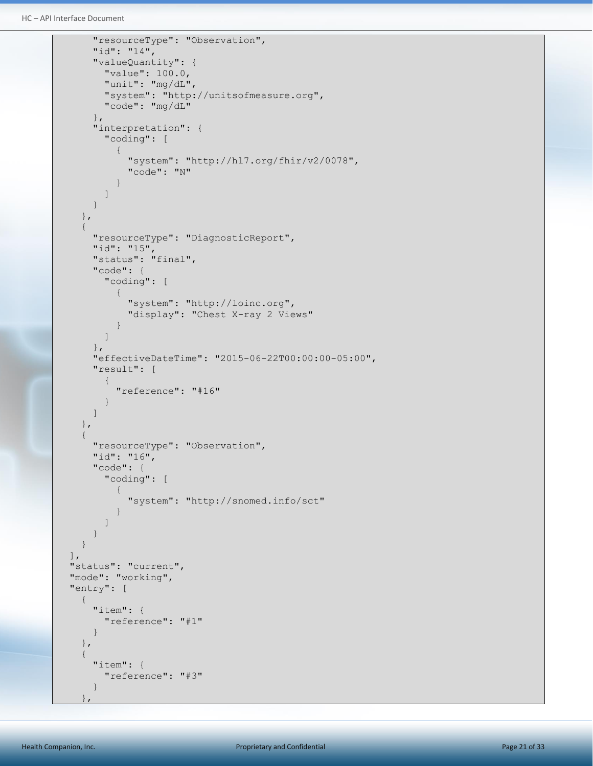```
HC – API Interface Document
```

```
 "resourceType": "Observation",
            "id": "14",
            "valueQuantity": {
               "value": 100.0,
               "unit": "mg/dL",
                "system": "http://unitsofmeasure.org",
                "code": "mg/dL"
            },
            "interpretation": {
                "coding": [
\left\{ \begin{array}{cc} 0 & 0 & 0 \\ 0 & 0 & 0 \\ 0 & 0 & 0 \\ 0 & 0 & 0 \\ 0 & 0 & 0 \\ 0 & 0 & 0 \\ 0 & 0 & 0 \\ 0 & 0 & 0 \\ 0 & 0 & 0 \\ 0 & 0 & 0 \\ 0 & 0 & 0 \\ 0 & 0 & 0 & 0 \\ 0 & 0 & 0 & 0 \\ 0 & 0 & 0 & 0 \\ 0 & 0 & 0 & 0 & 0 \\ 0 & 0 & 0 & 0 & 0 \\ 0 & 0 & 0 & 0 & 0 \\ 0 & 0 & 0 & 0 & 0 & 0 \\ 0 & 0 & 0 & 0 "system": "http://hl7.org/fhir/v2/0078",
                       "code": "N"
 }
 ]
            }
        },
        {
            "resourceType": "DiagnosticReport",
            "id": "15",
            "status": "final",
            "code": {
                "coding": [
                  \{ "system": "http://loinc.org",
                       "display": "Chest X-ray 2 Views"
                   }
               ]
           },
            "effectiveDateTime": "2015-06-22T00:00:00-05:00",
            "result": [
               {
                   "reference": "#16"
 }
            ]
        },
        {
            "resourceType": "Observation",
            "id": "16",
            "code": {
                "coding": [
\left\{ \begin{array}{cc} 0 & 0 & 0 \\ 0 & 0 & 0 \\ 0 & 0 & 0 \\ 0 & 0 & 0 \\ 0 & 0 & 0 \\ 0 & 0 & 0 \\ 0 & 0 & 0 \\ 0 & 0 & 0 \\ 0 & 0 & 0 \\ 0 & 0 & 0 \\ 0 & 0 & 0 \\ 0 & 0 & 0 & 0 \\ 0 & 0 & 0 & 0 \\ 0 & 0 & 0 & 0 \\ 0 & 0 & 0 & 0 & 0 \\ 0 & 0 & 0 & 0 & 0 \\ 0 & 0 & 0 & 0 & 0 \\ 0 & 0 & 0 & 0 & 0 & 0 \\ 0 & 0 & 0 & 0 "system": "http://snomed.info/sct"
 }
               ]
           }
        }
   \vert,
    "status": "current",
   "mode": "working",
    "entry": [
        {
            "item": {
                "reference": "#1"
            }
        },
        {
            "item": {
               "reference": "#3"
            }
\qquad \qquad
```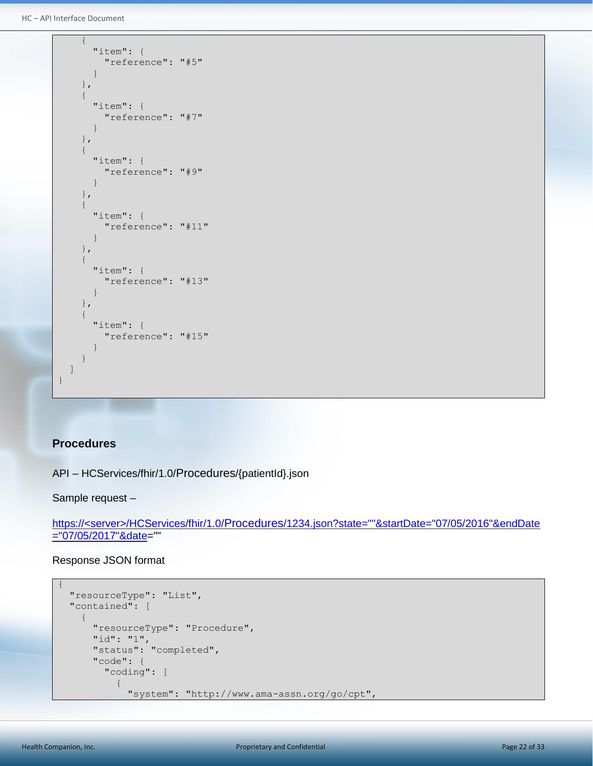```
HC – API Interface Document
```

```
 {
          "item": {
             "reference": "#5"
          }
       },
       {
          "item": {
             "reference": "#7"
          }
       },
       {
          "item": {
             "reference": "#9"
          }
       },
       {
          "item": {
             "reference": "#11"
          }
       },
       {
          "item": {
             "reference": "#13"
\mathbb{R}^n . The set of \mathbb{R}^n },
       {
          "item": {
            "reference": "#15"
\mathbb{R}^n . The set of \mathbb{R}^n }
   ]
}
```
#### <span id="page-21-0"></span>**Procedures**

API – HCServices/fhir/1.0/Procedures/{patientId}.json

Sample request –

https://<server>/HCServices/fhir/1.0/Procedures/1234.json?state=""&startDate="07/05/2016"&endDate ="07/05/2017"&date=""

```
{
      "resourceType": "List",
      "contained": [
           {
                 "resourceType": "Procedure",
                 "id": "1",
                 "status": "completed",
                 "code": {
                       "coding": [
\left\{ \begin{array}{cc} 0 & 0 & 0 \\ 0 & 0 & 0 \\ 0 & 0 & 0 \\ 0 & 0 & 0 \\ 0 & 0 & 0 \\ 0 & 0 & 0 \\ 0 & 0 & 0 \\ 0 & 0 & 0 \\ 0 & 0 & 0 \\ 0 & 0 & 0 \\ 0 & 0 & 0 \\ 0 & 0 & 0 & 0 \\ 0 & 0 & 0 & 0 \\ 0 & 0 & 0 & 0 \\ 0 & 0 & 0 & 0 & 0 \\ 0 & 0 & 0 & 0 & 0 \\ 0 & 0 & 0 & 0 & 0 \\ 0 & 0 & 0 & 0 & 0 & 0 \\ 0 & 0 & 0 & 0 "system": "http://www.ama-assn.org/go/cpt",
```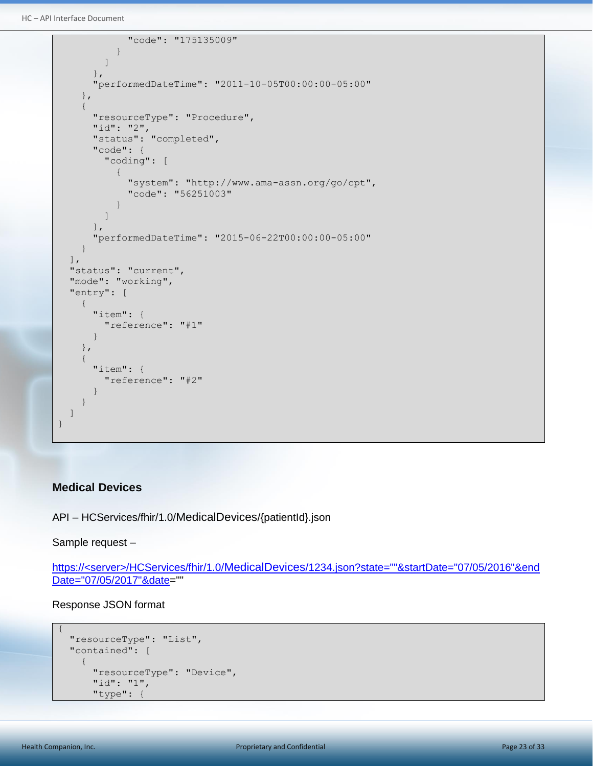```
HC – API Interface Document
```

```
 "code": "175135009"
 }
               ]
            },
            "performedDateTime": "2011-10-05T00:00:00-05:00"
        },
        {
            "resourceType": "Procedure",
            "id": "2",
            "status": "completed",
            "code": {
               "coding": [
\left\{ \begin{array}{cc} 0 & 0 & 0 \\ 0 & 0 & 0 \\ 0 & 0 & 0 \\ 0 & 0 & 0 \\ 0 & 0 & 0 \\ 0 & 0 & 0 \\ 0 & 0 & 0 \\ 0 & 0 & 0 \\ 0 & 0 & 0 \\ 0 & 0 & 0 \\ 0 & 0 & 0 \\ 0 & 0 & 0 & 0 \\ 0 & 0 & 0 & 0 \\ 0 & 0 & 0 & 0 \\ 0 & 0 & 0 & 0 & 0 \\ 0 & 0 & 0 & 0 & 0 \\ 0 & 0 & 0 & 0 & 0 \\ 0 & 0 & 0 & 0 & 0 & 0 \\ 0 & 0 & 0 & 0 "system": "http://www.ama-assn.org/go/cpt",
                       "code": "56251003"
 }
               ]
           },
            "performedDateTime": "2015-06-22T00:00:00-05:00"
        }
    ],
    "status": "current",
    "mode": "working",
    "entry": [
        {
            "item": {
               "reference": "#1"
            }
        },
        {
            "item": {
               "reference": "#2"
\mathbb{R}^n . The set of \mathbb{R}^n }
    ]
}
```
## <span id="page-22-0"></span>**Medical Devices**

API – HCServices/fhir/1.0/MedicalDevices/{patientId}.json

Sample request –

https://<server>/HCServices/fhir/1.0/MedicalDevices/1234.json?state=""&startDate="07/05/2016"&end Date="07/05/2017"&date=""

```
{
   "resourceType": "List",
   "contained": [
     {
       "resourceType": "Device",
       "id": "1",
       "type": {
```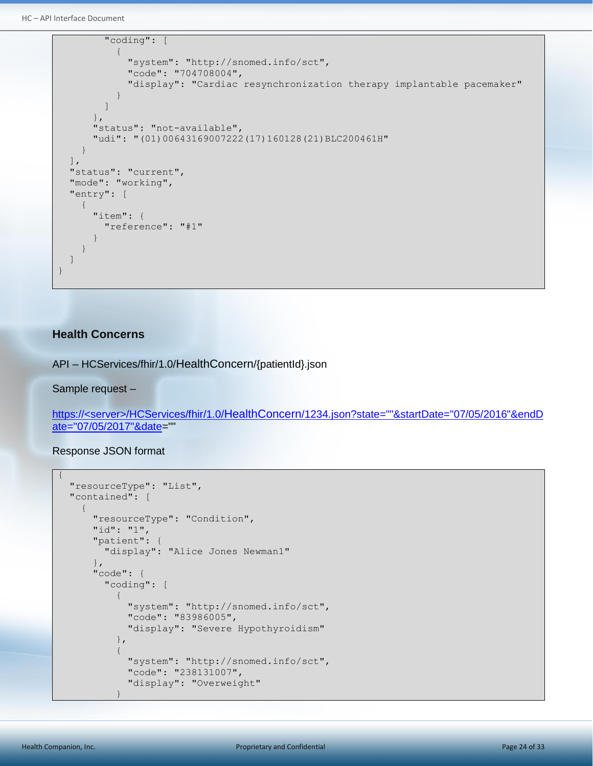```
HC – API Interface Document
```

```
 "coding": [
\left\{ \begin{array}{cc} 0 & 0 & 0 \\ 0 & 0 & 0 \\ 0 & 0 & 0 \\ 0 & 0 & 0 \\ 0 & 0 & 0 \\ 0 & 0 & 0 \\ 0 & 0 & 0 \\ 0 & 0 & 0 \\ 0 & 0 & 0 \\ 0 & 0 & 0 \\ 0 & 0 & 0 \\ 0 & 0 & 0 & 0 \\ 0 & 0 & 0 & 0 \\ 0 & 0 & 0 & 0 \\ 0 & 0 & 0 & 0 & 0 \\ 0 & 0 & 0 & 0 & 0 \\ 0 & 0 & 0 & 0 & 0 \\ 0 & 0 & 0 & 0 & 0 & 0 \\ 0 & 0 & 0 & 0 "system": "http://snomed.info/sct",
                          "code": "704708004",
                          "display": "Cardiac resynchronization therapy implantable pacemaker"
 }
                  ]
             },
             "status": "not-available",
             "udi": "(01)00643169007222(17)160128(21)BLC200461H"
        }
   \frac{1}{\sqrt{2}} "status": "current",
   "mode": "working",
    "entry": [
         {
             "item": {
                 "reference": "#1"
\mathbb{R}^n . The set of \mathbb{R}^n\qquad \qquad \} ]
}
```
#### <span id="page-23-0"></span>**Health Concerns**

API – HCServices/fhir/1.0/HealthConcern/{patientId}.json

Sample request –

https://<server>/HCServices/fhir/1.0/HealthConcern/1234.json?state=""&startDate="07/05/2016"&endD ate="07/05/2017"&date=""

```
{
      "resourceType": "List",
      "contained": [
           {
                 "resourceType": "Condition",
                 "id": "1",
                  "patient": {
                       "display": "Alice Jones Newman1"
                  },
                  "code": {
                       "coding": [
\left\{ \begin{array}{cc} 0 & 0 & 0 \\ 0 & 0 & 0 \\ 0 & 0 & 0 \\ 0 & 0 & 0 \\ 0 & 0 & 0 \\ 0 & 0 & 0 \\ 0 & 0 & 0 \\ 0 & 0 & 0 \\ 0 & 0 & 0 \\ 0 & 0 & 0 \\ 0 & 0 & 0 \\ 0 & 0 & 0 & 0 \\ 0 & 0 & 0 & 0 \\ 0 & 0 & 0 & 0 \\ 0 & 0 & 0 & 0 & 0 \\ 0 & 0 & 0 & 0 & 0 \\ 0 & 0 & 0 & 0 & 0 \\ 0 & 0 & 0 & 0 & 0 & 0 \\ 0 & 0 & 0 & 0 "system": "http://snomed.info/sct",
                                  "code": "83986005",
                                   "display": "Severe Hypothyroidism"
                             },
\left\{ \begin{array}{cc} 0 & 0 & 0 \\ 0 & 0 & 0 \\ 0 & 0 & 0 \\ 0 & 0 & 0 \\ 0 & 0 & 0 \\ 0 & 0 & 0 \\ 0 & 0 & 0 \\ 0 & 0 & 0 \\ 0 & 0 & 0 \\ 0 & 0 & 0 \\ 0 & 0 & 0 \\ 0 & 0 & 0 & 0 \\ 0 & 0 & 0 & 0 \\ 0 & 0 & 0 & 0 \\ 0 & 0 & 0 & 0 & 0 \\ 0 & 0 & 0 & 0 & 0 \\ 0 & 0 & 0 & 0 & 0 \\ 0 & 0 & 0 & 0 & 0 & 0 \\ 0 & 0 & 0 & 0 "system": "http://snomed.info/sct",
                                  "code": "238131007",
                                  "display": "Overweight"
 }
```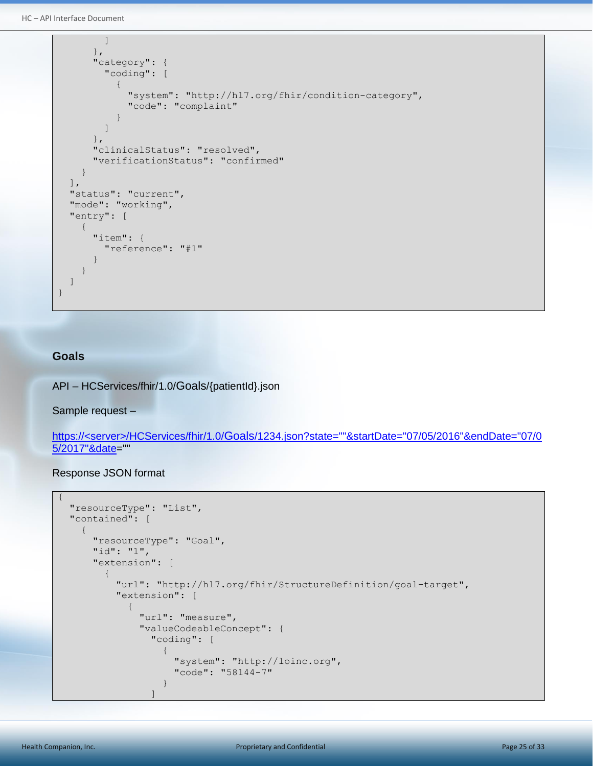HC – API Interface Document

```
 ]
              },
              "category": {
                  "coding": [
\left\{ \begin{array}{cc} 0 & 0 & 0 \\ 0 & 0 & 0 \\ 0 & 0 & 0 \\ 0 & 0 & 0 \\ 0 & 0 & 0 \\ 0 & 0 & 0 \\ 0 & 0 & 0 \\ 0 & 0 & 0 \\ 0 & 0 & 0 \\ 0 & 0 & 0 \\ 0 & 0 & 0 \\ 0 & 0 & 0 & 0 \\ 0 & 0 & 0 & 0 \\ 0 & 0 & 0 & 0 \\ 0 & 0 & 0 & 0 & 0 \\ 0 & 0 & 0 & 0 & 0 \\ 0 & 0 & 0 & 0 & 0 \\ 0 & 0 & 0 & 0 & 0 & 0 \\ 0 & 0 & 0 & 0 "system": "http://hl7.org/fhir/condition-category",
                           "code": "complaint"
 }
                  ]
              },
              "clinicalStatus": "resolved",
              "verificationStatus": "confirmed"
         }
    \frac{1}{\sqrt{2}} "status": "current",
     "mode": "working",
     "entry": [
         {
              "item": {
                  "reference": "#1"
\qquad \qquad \}\qquad \qquad \}\, ]
}
```
#### <span id="page-24-0"></span>**Goals**

{

API – HCServices/fhir/1.0/Goals/{patientId}.json

Sample request –

https://<server>/HCServices/fhir/1.0/Goals/1234.json?state=""&startDate="07/05/2016"&endDate="07/0 5/2017"&date=""

```
 "resourceType": "List",
       "contained": [
               {
                       "resourceType": "Goal",
                      "id": "1",
                       "extension": [
\left\{ \begin{array}{cc} 0 & 0 & 0 \\ 0 & 0 & 0 \\ 0 & 0 & 0 \\ 0 & 0 & 0 \\ 0 & 0 & 0 \\ 0 & 0 & 0 \\ 0 & 0 & 0 \\ 0 & 0 & 0 \\ 0 & 0 & 0 \\ 0 & 0 & 0 \\ 0 & 0 & 0 \\ 0 & 0 & 0 & 0 \\ 0 & 0 & 0 & 0 \\ 0 & 0 & 0 & 0 \\ 0 & 0 & 0 & 0 & 0 \\ 0 & 0 & 0 & 0 & 0 \\ 0 & 0 & 0 & 0 & 0 \\ 0 & 0 & 0 & 0 & 0 \\ 0 & 0 & 0 & 0 & 0 "url": "http://hl7.org/fhir/StructureDefinition/goal-target",
                                     "extension": [
\left\{ \begin{array}{cc} 0 & 0 & 0 \\ 0 & 0 & 0 \\ 0 & 0 & 0 \\ 0 & 0 & 0 \\ 0 & 0 & 0 \\ 0 & 0 & 0 \\ 0 & 0 & 0 \\ 0 & 0 & 0 \\ 0 & 0 & 0 \\ 0 & 0 & 0 \\ 0 & 0 & 0 \\ 0 & 0 & 0 \\ 0 & 0 & 0 & 0 \\ 0 & 0 & 0 & 0 \\ 0 & 0 & 0 & 0 \\ 0 & 0 & 0 & 0 & 0 \\ 0 & 0 & 0 & 0 & 0 \\ 0 & 0 & 0 & 0 & 0 \\ 0 & 0 & 0 & 0 & 0 & 0 \\ 0 "url": "measure",
                                                    "valueCodeableConcept": {
                                                           "coding": [
\left\{ \begin{array}{cc} 0 & 0 & 0 \\ 0 & 0 & 0 \\ 0 & 0 & 0 \\ 0 & 0 & 0 \\ 0 & 0 & 0 \\ 0 & 0 & 0 \\ 0 & 0 & 0 \\ 0 & 0 & 0 \\ 0 & 0 & 0 \\ 0 & 0 & 0 \\ 0 & 0 & 0 \\ 0 & 0 & 0 & 0 \\ 0 & 0 & 0 & 0 \\ 0 & 0 & 0 & 0 \\ 0 & 0 & 0 & 0 & 0 \\ 0 & 0 & 0 & 0 & 0 \\ 0 & 0 & 0 & 0 & 0 \\ 0 & 0 & 0 & 0 & 0 & 0 \\ 0 & 0 & 0 & 0 "system": "http://loinc.org",
                                                                         "code": "58144-7"
 }
 ]
```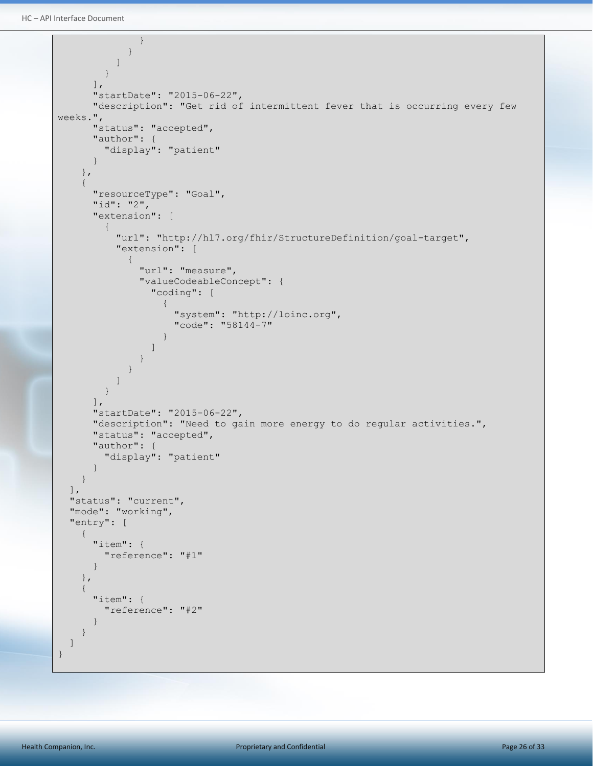```
 }
 }
                   ]
               }
           ],
            "startDate": "2015-06-22",
            "description": "Get rid of intermittent fever that is occurring every few 
weeks.",
            "status": "accepted",
            "author": {
                "display": "patient"
            }
        },
        {
            "resourceType": "Goal",
            "id": "2",
            "extension": [
                {
                   "url": "http://hl7.org/fhir/StructureDefinition/goal-target",
                    "extension": [
\left\{ \begin{array}{cc} 0 & 0 & 0 \\ 0 & 0 & 0 \\ 0 & 0 & 0 \\ 0 & 0 & 0 \\ 0 & 0 & 0 \\ 0 & 0 & 0 \\ 0 & 0 & 0 \\ 0 & 0 & 0 \\ 0 & 0 & 0 \\ 0 & 0 & 0 \\ 0 & 0 & 0 \\ 0 & 0 & 0 & 0 \\ 0 & 0 & 0 & 0 \\ 0 & 0 & 0 & 0 \\ 0 & 0 & 0 & 0 & 0 \\ 0 & 0 & 0 & 0 & 0 \\ 0 & 0 & 0 & 0 & 0 \\ 0 & 0 & 0 & 0 & 0 & 0 \\ 0 & 0 & 0 & 0 "url": "measure",
                           "valueCodeableConcept": {
                               "coding": [
\{ "system": "http://loinc.org",
                                     "code": "58144-7"
 }
and the state of the state of the state of
 }
 }
                   ]
               }
           \mathbf{I},
            "startDate": "2015-06-22",
            "description": "Need to gain more energy to do regular activities.",
            "status": "accepted",
            "author": {
                "display": "patient"
\left\{\begin{array}{ccc} 1 & 0 & 0 \\ 0 & 0 & 0 \\ 0 & 0 & 0 \\ 0 & 0 & 0 \\ 0 & 0 & 0 \\ 0 & 0 & 0 \\ 0 & 0 & 0 \\ 0 & 0 & 0 \\ 0 & 0 & 0 \\ 0 & 0 & 0 \\ 0 & 0 & 0 \\ 0 & 0 & 0 \\ 0 & 0 & 0 \\ 0 & 0 & 0 & 0 \\ 0 & 0 & 0 & 0 \\ 0 & 0 & 0 & 0 \\ 0 & 0 & 0 & 0 & 0 \\ 0 & 0 & 0 & 0 & 0 \\ 0 & 0 & 0 & 0 & 0 \\ 0 & 0 & 0 & 0 & }
   \frac{1}{\sqrt{2}} "status": "current",
   "mode": "working",
    "entry": [
       \left\{ \right. "item": {
                "reference": "#1"
\qquad \qquad \} },
         {
            "item": {
               "reference": "#2"
\qquad \qquad \} }
    ]
}
```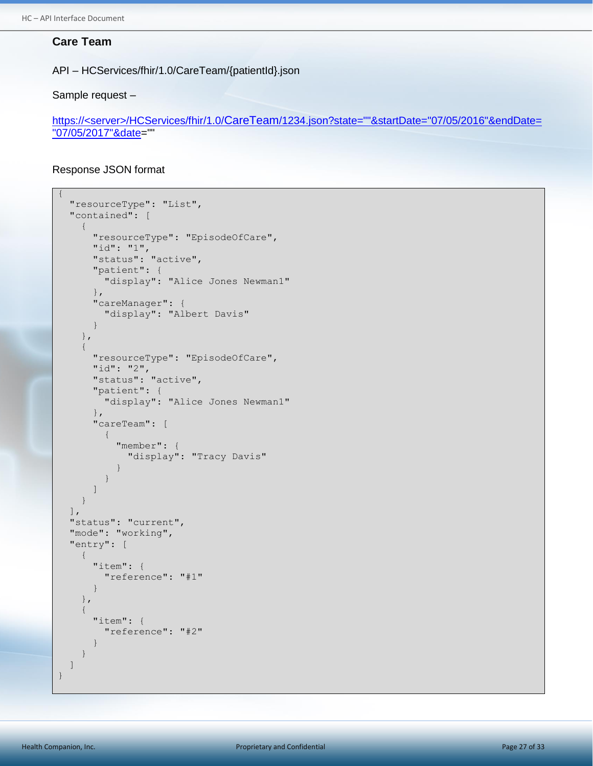#### <span id="page-26-0"></span>**Care Team**

API – HCServices/fhir/1.0/CareTeam/{patientId}.json

Sample request –

https://<server>/HCServices/fhir/1.0/CareTeam/1234.json?state=""&startDate="07/05/2016"&endDate= "07/05/2017"&date=""

```
{
   "resourceType": "List",
   "contained": [
     {
       "resourceType": "EpisodeOfCare",
       "id": "1",
       "status": "active",
       "patient": {
          "display": "Alice Jones Newman1"
       },
       "careManager": {
         "display": "Albert Davis"
       }
     },
     {
       "resourceType": "EpisodeOfCare",
       "id": "2",
       "status": "active",
       "patient": {
          "display": "Alice Jones Newman1"
       },
       "careTeam": [
          {
            "member": {
              "display": "Tracy Davis"
 }
 }
       ]
     }
  \vert,
   "status": "current",
  "mode": "working",
   "entry": [
     {
       "item": {
          "reference": "#1"
       }
     },
     {
       "item": {
          "reference": "#2"
       }
     }
   ]
}
```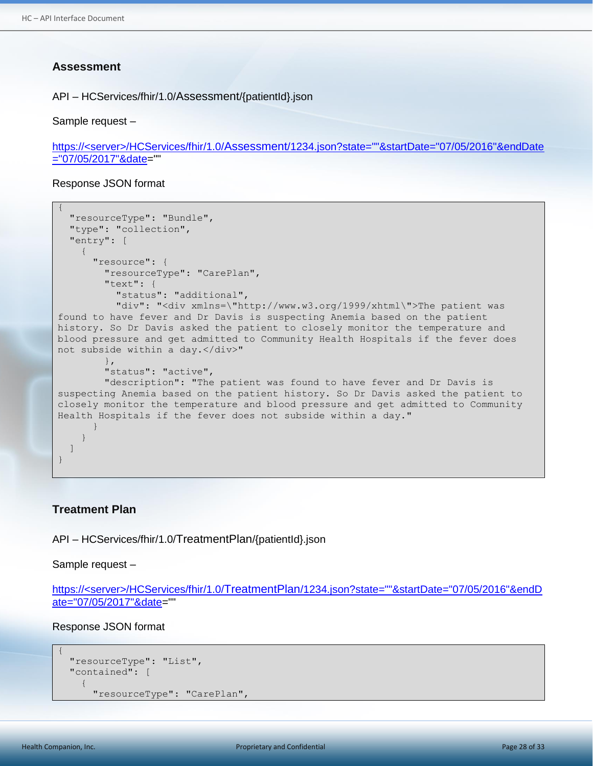#### <span id="page-27-0"></span>**Assessment**

API – HCServices/fhir/1.0/Assessment/{patientId}.json

Sample request –

```
https://<server>/HCServices/fhir/1.0/Assessment/1234.json?state=""&startDate="07/05/2016"&endDate
="07/05/2017"&date=""
```
Response JSON format

```
{
   "resourceType": "Bundle",
   "type": "collection",
   "entry": [
     {
       "resource": {
         "resourceType": "CarePlan",
         "text": {
           "status": "additional",
          "div": "<div xmlns=\"http://www.w3.org/1999/xhtml\">The patient was
found to have fever and Dr Davis is suspecting Anemia based on the patient 
history. So Dr Davis asked the patient to closely monitor the temperature and 
blood pressure and get admitted to Community Health Hospitals if the fever does 
not subside within a day.</div>"
         },
         "status": "active",
         "description": "The patient was found to have fever and Dr Davis is 
suspecting Anemia based on the patient history. So Dr Davis asked the patient to 
closely monitor the temperature and blood pressure and get admitted to Community 
Health Hospitals if the fever does not subside within a day."
       }
\qquad \qquad \} ]
}
```
#### <span id="page-27-1"></span>**Treatment Plan**

API – HCServices/fhir/1.0/TreatmentPlan/{patientId}.json

Sample request –

```
https://<server>/HCServices/fhir/1.0/TreatmentPlan/1234.json?state=""&startDate="07/05/2016"&endD
ate="07/05/2017"&date=""
```
Response JSON format

```
 "resourceType": "List",
 "contained": [
   {
     "resourceType": "CarePlan",
```
{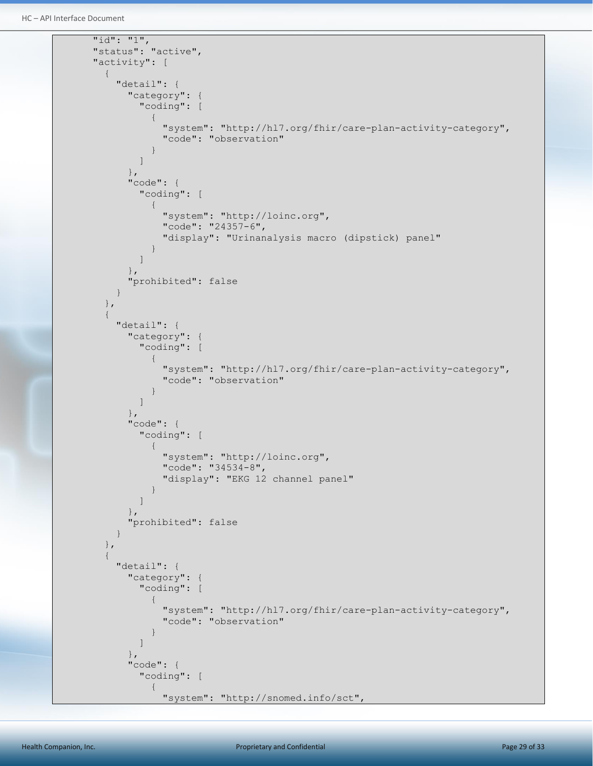```
HC – API Interface Document
```

```
 "id": "1",
                    "status": "active",
                    "activity": [
                          {
                                 "detail": {
                                        "category": {
                                               "coding": [
\left\{ \begin{array}{cc} 0 & 0 & 0 \\ 0 & 0 & 0 \\ 0 & 0 & 0 \\ 0 & 0 & 0 \\ 0 & 0 & 0 \\ 0 & 0 & 0 \\ 0 & 0 & 0 \\ 0 & 0 & 0 \\ 0 & 0 & 0 \\ 0 & 0 & 0 \\ 0 & 0 & 0 \\ 0 & 0 & 0 & 0 \\ 0 & 0 & 0 & 0 \\ 0 & 0 & 0 & 0 \\ 0 & 0 & 0 & 0 & 0 \\ 0 & 0 & 0 & 0 & 0 \\ 0 & 0 & 0 & 0 & 0 \\ 0 & 0 & 0 & 0 & 0 & 0 \\ 0 & 0 & 0 & 0 "system": "http://hl7.org/fhir/care-plan-activity-category",
                                                            "code": "observation"
 }
 ]
                                        },
                                        "code": {
                                              "coding": [
\left\{ \begin{array}{cc} 0 & 0 & 0 \\ 0 & 0 & 0 \\ 0 & 0 & 0 \\ 0 & 0 & 0 \\ 0 & 0 & 0 \\ 0 & 0 & 0 \\ 0 & 0 & 0 \\ 0 & 0 & 0 \\ 0 & 0 & 0 \\ 0 & 0 & 0 \\ 0 & 0 & 0 \\ 0 & 0 & 0 & 0 \\ 0 & 0 & 0 & 0 \\ 0 & 0 & 0 & 0 \\ 0 & 0 & 0 & 0 & 0 \\ 0 & 0 & 0 & 0 & 0 \\ 0 & 0 & 0 & 0 & 0 \\ 0 & 0 & 0 & 0 & 0 & 0 \\ 0 & 0 & 0 & 0 "system": "http://loinc.org",
                                                          "code": "24357-6",
                                                           "display": "Urinanalysis macro (dipstick) panel"
 }
 ]
                                        },
                                        "prohibited": false
 }
                          },
\left\{ \begin{array}{ccc} 0 & 0 & 0 \\ 0 & 0 & 0 \\ 0 & 0 & 0 \\ 0 & 0 & 0 \\ 0 & 0 & 0 \\ 0 & 0 & 0 \\ 0 & 0 & 0 \\ 0 & 0 & 0 \\ 0 & 0 & 0 \\ 0 & 0 & 0 \\ 0 & 0 & 0 \\ 0 & 0 & 0 \\ 0 & 0 & 0 \\ 0 & 0 & 0 & 0 \\ 0 & 0 & 0 & 0 \\ 0 & 0 & 0 & 0 \\ 0 & 0 & 0 & 0 \\ 0 & 0 & 0 & 0 & 0 \\ 0 & 0 & 0 & 0 & 0 \\ 0 & 0 & 0 & 0 & 0 "detail": {
                                        "category": {
                                              "coding": [
\left\{ \begin{array}{cc} 0 & 0 & 0 \\ 0 & 0 & 0 \\ 0 & 0 & 0 \\ 0 & 0 & 0 \\ 0 & 0 & 0 \\ 0 & 0 & 0 \\ 0 & 0 & 0 \\ 0 & 0 & 0 \\ 0 & 0 & 0 \\ 0 & 0 & 0 \\ 0 & 0 & 0 \\ 0 & 0 & 0 & 0 \\ 0 & 0 & 0 & 0 \\ 0 & 0 & 0 & 0 \\ 0 & 0 & 0 & 0 & 0 \\ 0 & 0 & 0 & 0 & 0 \\ 0 & 0 & 0 & 0 & 0 \\ 0 & 0 & 0 & 0 & 0 & 0 \\ 0 & 0 & 0 & 0 "system": "http://hl7.org/fhir/care-plan-activity-category",
                                                            "code": "observation"
 }
 ]
                                        },
                                        "code": {
                                              "coding": [
\left\{ \begin{array}{cc} 0 & 0 & 0 \\ 0 & 0 & 0 \\ 0 & 0 & 0 \\ 0 & 0 & 0 \\ 0 & 0 & 0 \\ 0 & 0 & 0 \\ 0 & 0 & 0 \\ 0 & 0 & 0 \\ 0 & 0 & 0 \\ 0 & 0 & 0 \\ 0 & 0 & 0 \\ 0 & 0 & 0 & 0 \\ 0 & 0 & 0 & 0 \\ 0 & 0 & 0 & 0 \\ 0 & 0 & 0 & 0 & 0 \\ 0 & 0 & 0 & 0 & 0 \\ 0 & 0 & 0 & 0 & 0 \\ 0 & 0 & 0 & 0 & 0 & 0 \\ 0 & 0 & 0 & 0 "system": "http://loinc.org",
                                                           "code": "34534-8",
                                                           "display": "EKG 12 channel panel"
 }
 ]
                                        },
                                        "prohibited": false
 }
                          },
\left\{ \begin{array}{cc} 0 & 0 & 0 \\ 0 & 0 & 0 \\ 0 & 0 & 0 \\ 0 & 0 & 0 \\ 0 & 0 & 0 \\ 0 & 0 & 0 \\ 0 & 0 & 0 \\ 0 & 0 & 0 \\ 0 & 0 & 0 \\ 0 & 0 & 0 \\ 0 & 0 & 0 \\ 0 & 0 & 0 & 0 \\ 0 & 0 & 0 & 0 \\ 0 & 0 & 0 & 0 \\ 0 & 0 & 0 & 0 & 0 \\ 0 & 0 & 0 & 0 & 0 \\ 0 & 0 & 0 & 0 & 0 \\ 0 & 0 & 0 & 0 & 0 \\ 0 & 0 & 0 & 0 & 0 "detail": {
                                        "category": {
                                               "coding": [
\left\{ \begin{array}{cc} 0 & 0 & 0 \\ 0 & 0 & 0 \\ 0 & 0 & 0 \\ 0 & 0 & 0 \\ 0 & 0 & 0 \\ 0 & 0 & 0 \\ 0 & 0 & 0 \\ 0 & 0 & 0 \\ 0 & 0 & 0 \\ 0 & 0 & 0 \\ 0 & 0 & 0 \\ 0 & 0 & 0 & 0 \\ 0 & 0 & 0 & 0 \\ 0 & 0 & 0 & 0 \\ 0 & 0 & 0 & 0 & 0 \\ 0 & 0 & 0 & 0 & 0 \\ 0 & 0 & 0 & 0 & 0 \\ 0 & 0 & 0 & 0 & 0 & 0 \\ 0 & 0 & 0 & 0 "system": "http://hl7.org/fhir/care-plan-activity-category",
                                                            "code": "observation"
 }
 ]
                                        },
                                        "code": {
                                              "coding": [
\left\{ \begin{array}{cc} 0 & 0 & 0 \\ 0 & 0 & 0 \\ 0 & 0 & 0 \\ 0 & 0 & 0 \\ 0 & 0 & 0 \\ 0 & 0 & 0 \\ 0 & 0 & 0 \\ 0 & 0 & 0 \\ 0 & 0 & 0 \\ 0 & 0 & 0 \\ 0 & 0 & 0 \\ 0 & 0 & 0 & 0 \\ 0 & 0 & 0 & 0 \\ 0 & 0 & 0 & 0 \\ 0 & 0 & 0 & 0 & 0 \\ 0 & 0 & 0 & 0 & 0 \\ 0 & 0 & 0 & 0 & 0 \\ 0 & 0 & 0 & 0 & 0 & 0 \\ 0 & 0 & 0 & 0 "system": "http://snomed.info/sct",
```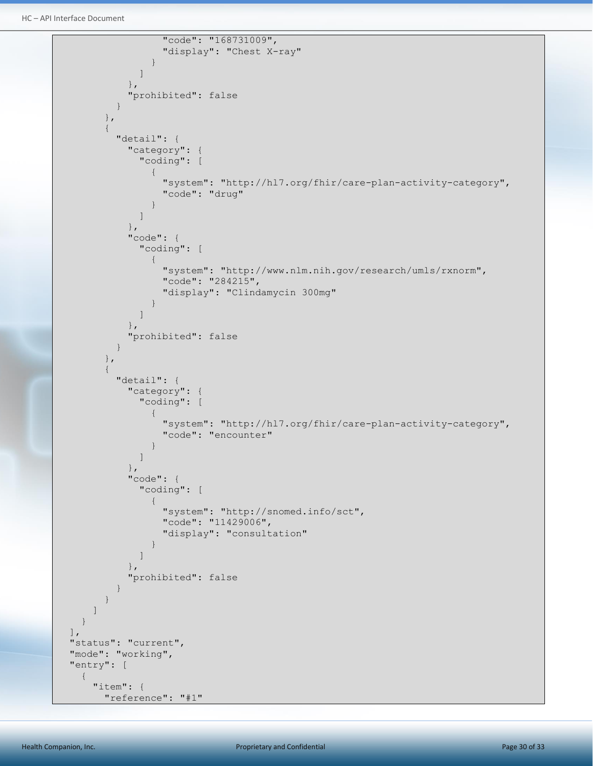HC – API Interface Document

```
 "code": "168731009",
                                              "display": "Chest X-ray"
 }
 ]
                               },
                               "prohibited": false
 }
                     },
                     {
                          "detail": {
                               "category": {
                                    "coding": [
\left\{ \begin{array}{cc} 0 & 0 & 0 \\ 0 & 0 & 0 \\ 0 & 0 & 0 \\ 0 & 0 & 0 \\ 0 & 0 & 0 \\ 0 & 0 & 0 \\ 0 & 0 & 0 \\ 0 & 0 & 0 \\ 0 & 0 & 0 \\ 0 & 0 & 0 \\ 0 & 0 & 0 \\ 0 & 0 & 0 & 0 \\ 0 & 0 & 0 & 0 \\ 0 & 0 & 0 & 0 \\ 0 & 0 & 0 & 0 & 0 \\ 0 & 0 & 0 & 0 & 0 \\ 0 & 0 & 0 & 0 & 0 \\ 0 & 0 & 0 & 0 & 0 & 0 \\ 0 & 0 & 0 & 0 "system": "http://hl7.org/fhir/care-plan-activity-category",
                                              "code": "drug"
 }
 ]
                               },
                               "code": {
                                    "coding": [
\left\{ \begin{array}{cc} 0 & 0 & 0 \\ 0 & 0 & 0 \\ 0 & 0 & 0 \\ 0 & 0 & 0 \\ 0 & 0 & 0 \\ 0 & 0 & 0 \\ 0 & 0 & 0 \\ 0 & 0 & 0 \\ 0 & 0 & 0 \\ 0 & 0 & 0 \\ 0 & 0 & 0 \\ 0 & 0 & 0 & 0 \\ 0 & 0 & 0 & 0 \\ 0 & 0 & 0 & 0 \\ 0 & 0 & 0 & 0 & 0 \\ 0 & 0 & 0 & 0 & 0 \\ 0 & 0 & 0 & 0 & 0 \\ 0 & 0 & 0 & 0 & 0 & 0 \\ 0 & 0 & 0 & 0 "system": "http://www.nlm.nih.gov/research/umls/rxnorm",
                                              "code": "284215",
                                              "display": "Clindamycin 300mg"
 }
 ]
                               },
                               "prohibited": false
 }
                    },
\left\{ \begin{array}{ccc} 0 & 0 & 0 \\ 0 & 0 & 0 \\ 0 & 0 & 0 \\ 0 & 0 & 0 \\ 0 & 0 & 0 \\ 0 & 0 & 0 \\ 0 & 0 & 0 \\ 0 & 0 & 0 \\ 0 & 0 & 0 \\ 0 & 0 & 0 \\ 0 & 0 & 0 \\ 0 & 0 & 0 \\ 0 & 0 & 0 \\ 0 & 0 & 0 & 0 \\ 0 & 0 & 0 & 0 \\ 0 & 0 & 0 & 0 \\ 0 & 0 & 0 & 0 \\ 0 & 0 & 0 & 0 & 0 \\ 0 & 0 & 0 & 0 & 0 \\ 0 & 0 & 0 & 0 & 0 "detail": {
                               "category": {
                                    "coding": [
\left\{ \begin{array}{cc} 0 & 0 & 0 \\ 0 & 0 & 0 \\ 0 & 0 & 0 \\ 0 & 0 & 0 \\ 0 & 0 & 0 \\ 0 & 0 & 0 \\ 0 & 0 & 0 \\ 0 & 0 & 0 \\ 0 & 0 & 0 \\ 0 & 0 & 0 \\ 0 & 0 & 0 \\ 0 & 0 & 0 & 0 \\ 0 & 0 & 0 & 0 \\ 0 & 0 & 0 & 0 \\ 0 & 0 & 0 & 0 & 0 \\ 0 & 0 & 0 & 0 & 0 \\ 0 & 0 & 0 & 0 & 0 \\ 0 & 0 & 0 & 0 & 0 & 0 \\ 0 & 0 & 0 & 0 "system": "http://hl7.org/fhir/care-plan-activity-category",
                                              "code": "encounter"
 }
 ]
                               },
                               "code": {
                                    "coding": [
\left\{ \begin{array}{cc} 0 & 0 & 0 \\ 0 & 0 & 0 \\ 0 & 0 & 0 \\ 0 & 0 & 0 \\ 0 & 0 & 0 \\ 0 & 0 & 0 \\ 0 & 0 & 0 \\ 0 & 0 & 0 \\ 0 & 0 & 0 \\ 0 & 0 & 0 \\ 0 & 0 & 0 \\ 0 & 0 & 0 & 0 \\ 0 & 0 & 0 & 0 \\ 0 & 0 & 0 & 0 \\ 0 & 0 & 0 & 0 & 0 \\ 0 & 0 & 0 & 0 & 0 \\ 0 & 0 & 0 & 0 & 0 \\ 0 & 0 & 0 & 0 & 0 & 0 \\ 0 & 0 & 0 & 0 "system": "http://snomed.info/sct",
                                             "code": "11429006",
                                             "display": "consultation"
 }
 ]
                               },
                               "prohibited": false
 }
                    }
               ]
          }
     ],
     "status": "current",
     "mode": "working",
     "entry": [
          {
               "item": {
                     "reference": "#1"
```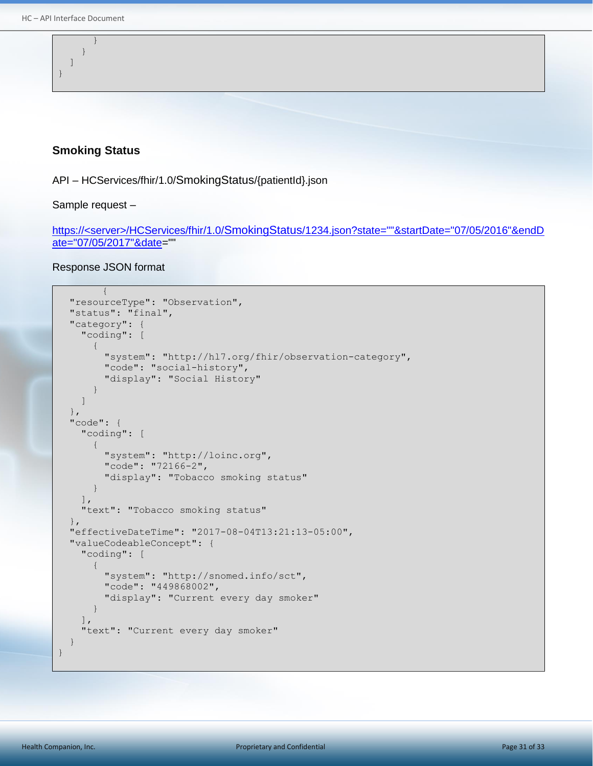} ] }

}

#### <span id="page-30-0"></span>**Smoking Status**

API – HCServices/fhir/1.0/SmokingStatus/{patientId}.json

Sample request –

https://<server>/HCServices/fhir/1.0/SmokingStatus/1234.json?state=""&startDate="07/05/2016"&endD ate="07/05/2017"&date=""

```
{
    "resourceType": "Observation",
    "status": "final",
    "category": {
        "coding": [
\left\{ \begin{array}{cc} 0 & 0 \\ 0 & 0 \end{array} \right. "system": "http://hl7.org/fhir/observation-category",
              "code": "social-history",
              "display": "Social History"
           }
       ]
    },
    "code": {
       "coding": [
           {
              "system": "http://loinc.org",
              "code": "72166-2",
              "display": "Tobacco smoking status"
           }
      \vert,
       "text": "Tobacco smoking status"
    },
    "effectiveDateTime": "2017-08-04T13:21:13-05:00",
    "valueCodeableConcept": {
       "coding": [
\left\{ \begin{array}{ccc} 0 & 0 & 0 \\ 0 & 0 & 0 \\ 0 & 0 & 0 \\ 0 & 0 & 0 \\ 0 & 0 & 0 \\ 0 & 0 & 0 \\ 0 & 0 & 0 \\ 0 & 0 & 0 \\ 0 & 0 & 0 \\ 0 & 0 & 0 \\ 0 & 0 & 0 \\ 0 & 0 & 0 \\ 0 & 0 & 0 \\ 0 & 0 & 0 & 0 \\ 0 & 0 & 0 & 0 \\ 0 & 0 & 0 & 0 \\ 0 & 0 & 0 & 0 & 0 \\ 0 & 0 & 0 & 0 & 0 \\ 0 & 0 & 0 & 0 & 0 \\ 0 & 0 & 0 & 0 "system": "http://snomed.info/sct",
              "code": "449868002",
              "display": "Current every day smoker"
\qquad \qquad \}\vert,
       "text": "Current every day smoker"
    }
}
```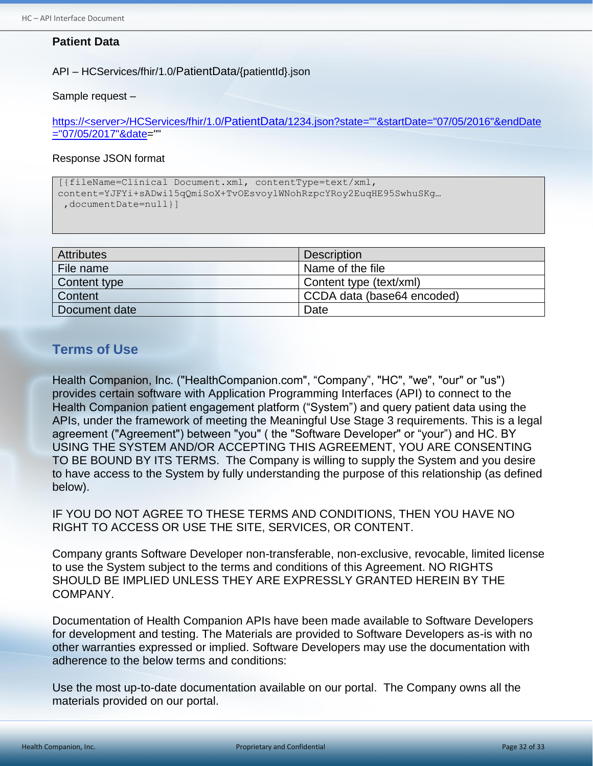### <span id="page-31-0"></span>**Patient Data**

API – HCServices/fhir/1.0/PatientData/{patientId}.json

#### Sample request –

https://<server>/HCServices/fhir/1.0/PatientData/1234.json?state=""&startDate="07/05/2016"&endDate ="07/05/2017"&date=""

#### Response JSON format

```
[{fileName=Clinical Document.xml, contentType=text/xml, 
content=YJFYi+sADwi15qQmiSoX+TvOEsvoylWNohRzpcYRoy2EuqHE95SwhuSKg…
 ,documentDate=null}]
```

| <b>Attributes</b> | <b>Description</b>         |
|-------------------|----------------------------|
| File name         | Name of the file           |
| Content type      | Content type (text/xml)    |
| Content           | CCDA data (base64 encoded) |
| Document date     | Date                       |

# <span id="page-31-1"></span>**Terms of Use**

Health Companion, Inc. ("HealthCompanion.com", "Company", "HC", "we", "our" or "us") provides certain software with Application Programming Interfaces (API) to connect to the Health Companion patient engagement platform ("System") and query patient data using the APIs, under the framework of meeting the Meaningful Use Stage 3 requirements. This is a legal agreement ("Agreement") between "you" ( the "Software Developer" or "your") and HC. BY USING THE SYSTEM AND/OR ACCEPTING THIS AGREEMENT, YOU ARE CONSENTING TO BE BOUND BY ITS TERMS. The Company is willing to supply the System and you desire to have access to the System by fully understanding the purpose of this relationship (as defined below).

IF YOU DO NOT AGREE TO THESE TERMS AND CONDITIONS, THEN YOU HAVE NO RIGHT TO ACCESS OR USE THE SITE, SERVICES, OR CONTENT.

Company grants Software Developer non-transferable, non-exclusive, revocable, limited license to use the System subject to the terms and conditions of this Agreement. NO RIGHTS SHOULD BE IMPLIED UNLESS THEY ARE EXPRESSLY GRANTED HEREIN BY THE COMPANY.

Documentation of Health Companion APIs have been made available to Software Developers for development and testing. The Materials are provided to Software Developers as-is with no other warranties expressed or implied. Software Developers may use the documentation with adherence to the below terms and conditions:

Use the most up-to-date documentation available on our portal. The Company owns all the materials provided on our portal.